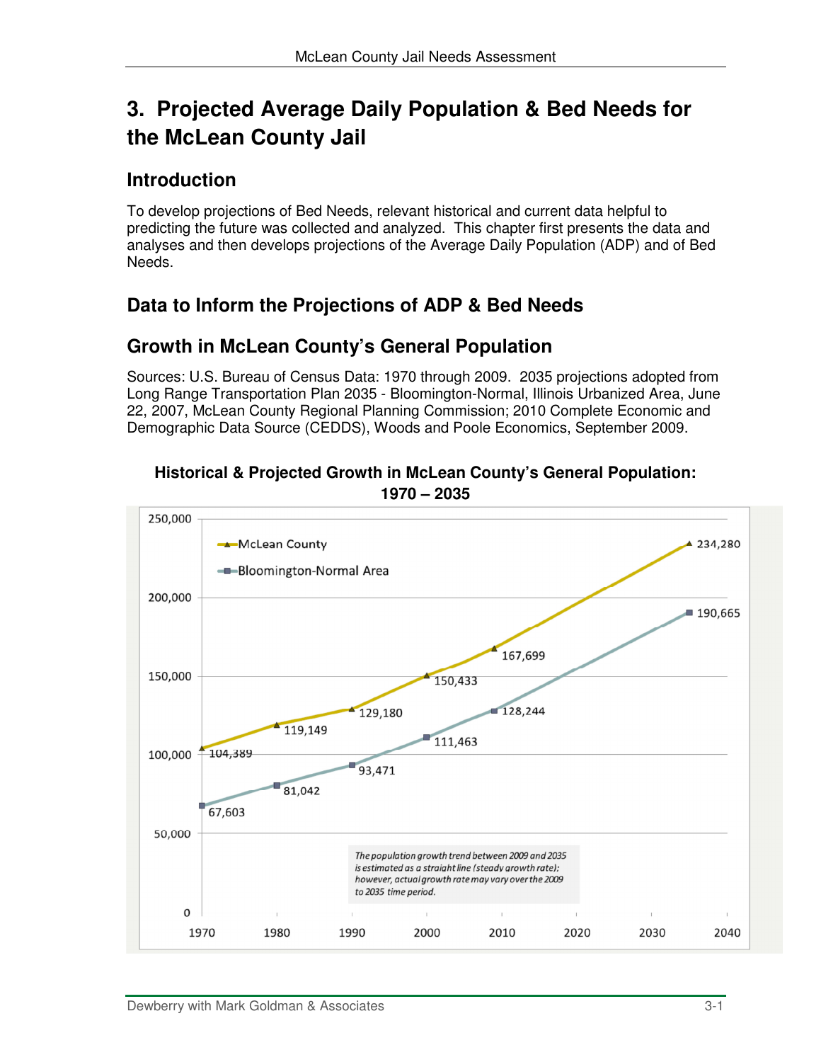# **3. Projected Average Daily Population & Bed Needs for the McLean County Jail**

# **Introduction**

To develop projections of Bed Needs, relevant historical and current data helpful to predicting the future was collected and analyzed. This chapter first presents the data and analyses and then develops projections of the Average Daily Population (ADP) and of Bed Needs.

# **Data to Inform the Projections of ADP & Bed Needs**

# **Growth in McLean County's General Population**

Sources: U.S. Bureau of Census Data: 1970 through 2009. 2035 projections adopted from Long Range Transportation Plan 2035 - Bloomington-Normal, Illinois Urbanized Area, June 22, 2007, McLean County Regional Planning Commission; 2010 Complete Economic and Demographic Data Source (CEDDS), Woods and Poole Economics, September 2009.



**Historical & Projected Growth in McLean County's General Population:**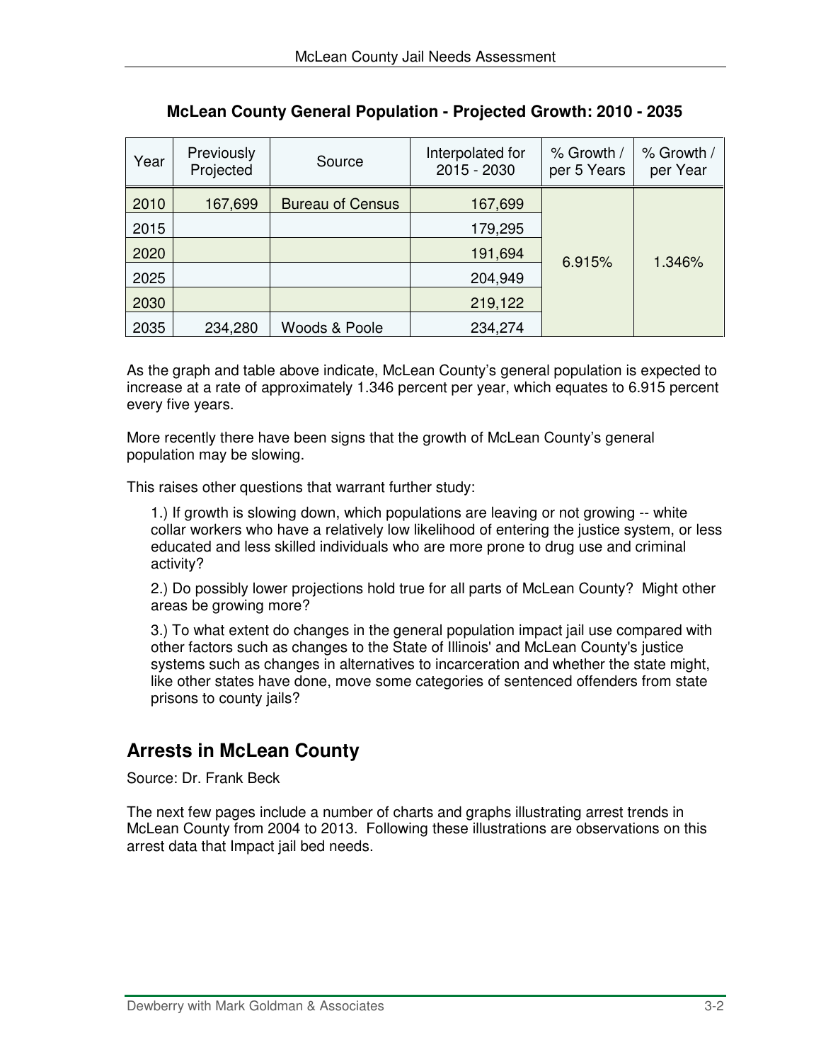| Year | Previously<br>Projected | Source                  | Interpolated for<br>2015 - 2030 | % Growth /<br>per 5 Years | % Growth /<br>per Year |
|------|-------------------------|-------------------------|---------------------------------|---------------------------|------------------------|
| 2010 | 167,699                 | <b>Bureau of Census</b> | 167,699                         |                           |                        |
| 2015 |                         |                         | 179,295                         |                           |                        |
| 2020 |                         |                         | 191,694                         | 6.915%                    | 1.346%                 |
| 2025 |                         |                         | 204,949                         |                           |                        |
| 2030 |                         |                         | 219,122                         |                           |                        |
| 2035 | 234,280                 | Woods & Poole           | 234,274                         |                           |                        |

**McLean County General Population - Projected Growth: 2010 - 2035**

As the graph and table above indicate, McLean County's general population is expected to increase at a rate of approximately 1.346 percent per year, which equates to 6.915 percent every five years.

More recently there have been signs that the growth of McLean County's general population may be slowing.

This raises other questions that warrant further study:

1.) If growth is slowing down, which populations are leaving or not growing -- white collar workers who have a relatively low likelihood of entering the justice system, or less educated and less skilled individuals who are more prone to drug use and criminal activity?

2.) Do possibly lower projections hold true for all parts of McLean County? Might other areas be growing more?

3.) To what extent do changes in the general population impact jail use compared with other factors such as changes to the State of Illinois' and McLean County's justice systems such as changes in alternatives to incarceration and whether the state might, like other states have done, move some categories of sentenced offenders from state prisons to county jails?

# **Arrests in McLean County**

Source: Dr. Frank Beck

The next few pages include a number of charts and graphs illustrating arrest trends in McLean County from 2004 to 2013. Following these illustrations are observations on this arrest data that Impact jail bed needs.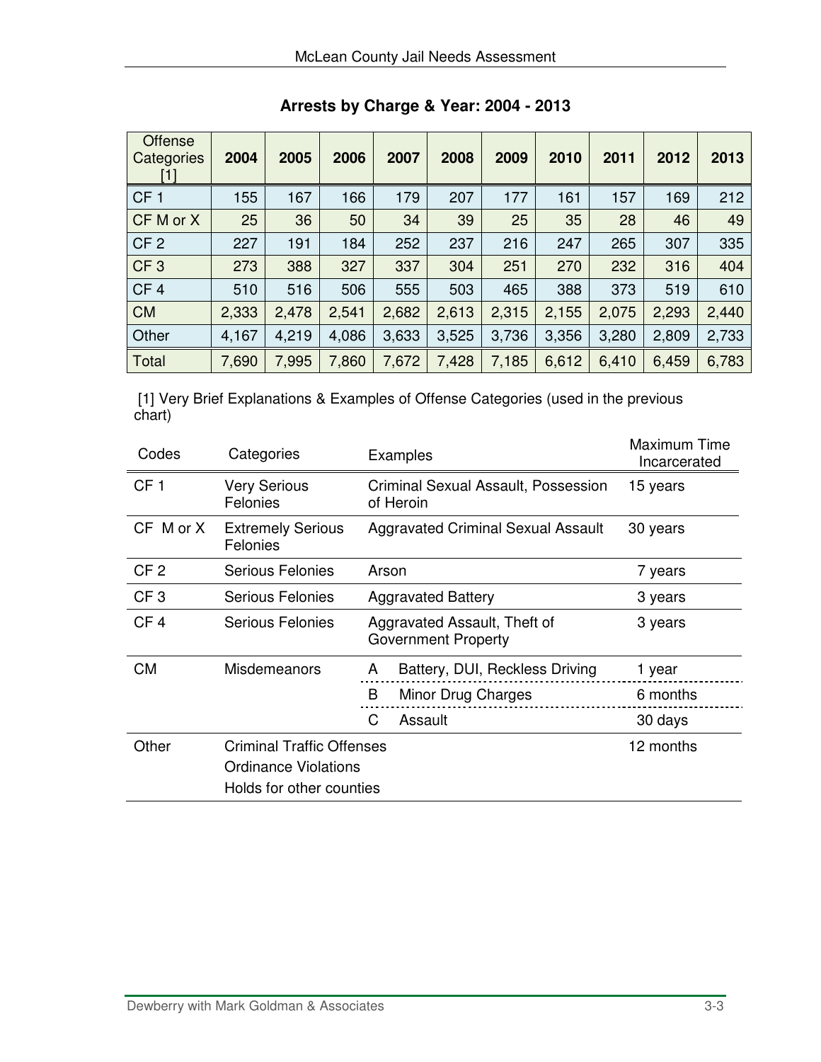| <b>Offense</b><br>Categories<br>11 | 2004  | 2005  | 2006  | 2007  | 2008  | 2009  | 2010  | 2011  | 2012  | 2013  |
|------------------------------------|-------|-------|-------|-------|-------|-------|-------|-------|-------|-------|
| CF <sub>1</sub>                    | 55    | 167   | 166   | 179   | 207   | 177   | 161   | 157   | 169   | 212   |
| CF M or X                          | 25    | 36    | 50    | 34    | 39    | 25    | 35    | 28    | 46    | 49    |
| CF <sub>2</sub>                    | 227   | 191   | 184   | 252   | 237   | 216   | 247   | 265   | 307   | 335   |
| CF <sub>3</sub>                    | 273   | 388   | 327   | 337   | 304   | 251   | 270   | 232   | 316   | 404   |
| CF <sub>4</sub>                    | 510   | 516   | 506   | 555   | 503   | 465   | 388   | 373   | 519   | 610   |
| <b>CM</b>                          | 2,333 | 2,478 | 2,541 | 2,682 | 2,613 | 2,315 | 2,155 | 2,075 | 2,293 | 2,440 |
| Other                              | 4,167 | 4,219 | 4,086 | 3,633 | 3,525 | 3,736 | 3,356 | 3,280 | 2,809 | 2,733 |
| Total                              | 7,690 | 7,995 | 7,860 | 7,672 | 7,428 | 7,185 | 6,612 | 6,410 | 6,459 | 6,783 |

**Arrests by Charge & Year: 2004 - 2013** 

 [1] Very Brief Explanations & Examples of Offense Categories (used in the previous chart)

| Codes           | Categories                                                                                  | Examples                                                   | Maximum Time<br>Incarcerated |
|-----------------|---------------------------------------------------------------------------------------------|------------------------------------------------------------|------------------------------|
| CF <sub>1</sub> | <b>Very Serious</b><br>Felonies                                                             | Criminal Sexual Assault, Possession<br>of Heroin           | 15 years                     |
| CF M or X       | <b>Extremely Serious</b><br>Felonies                                                        | <b>Aggravated Criminal Sexual Assault</b>                  | 30 years                     |
| CF <sub>2</sub> | <b>Serious Felonies</b>                                                                     | Arson                                                      | 7 years                      |
| CF <sub>3</sub> | <b>Serious Felonies</b>                                                                     | <b>Aggravated Battery</b>                                  | 3 years                      |
| CF <sub>4</sub> | Serious Felonies                                                                            | Aggravated Assault, Theft of<br><b>Government Property</b> | 3 years                      |
| <b>CM</b>       | <b>Misdemeanors</b>                                                                         | Battery, DUI, Reckless Driving<br>A                        | 1 year                       |
|                 |                                                                                             | Minor Drug Charges<br>B                                    | 6 months                     |
|                 |                                                                                             | C<br>Assault                                               | 30 days                      |
| Other           | <b>Criminal Traffic Offenses</b><br><b>Ordinance Violations</b><br>Holds for other counties |                                                            | 12 months                    |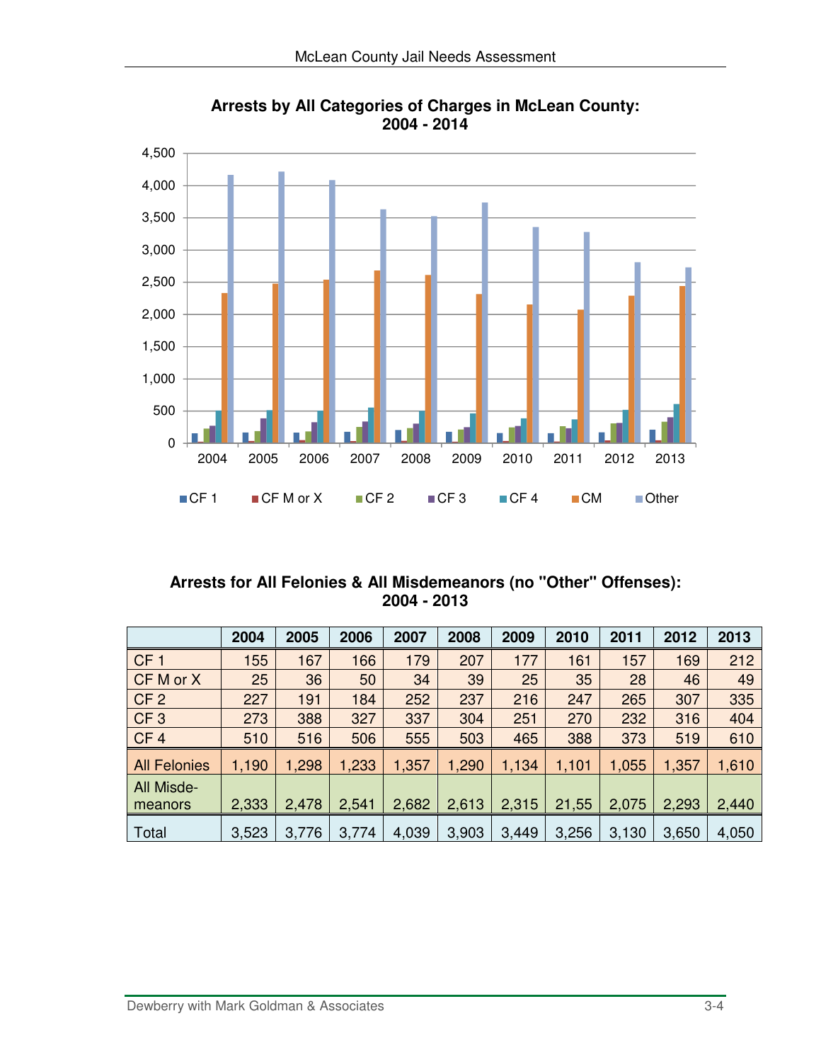

**Arrests by All Categories of Charges in McLean County: 2004 - 2014** 

### **Arrests for All Felonies & All Misdemeanors (no "Other" Offenses): 2004 - 2013**

|                       | 2004  | 2005  | 2006  | 2007  | 2008  | 2009  | 2010  | 2011  | 2012  | 2013  |
|-----------------------|-------|-------|-------|-------|-------|-------|-------|-------|-------|-------|
| CF <sub>1</sub>       | 155   | 167   | 166   | 179   | 207   | 177   | 161   | 157   | 169   | 212   |
| CF M or X             | 25    | 36    | 50    | 34    | 39    | 25    | 35    | 28    | 46    | 49    |
| CF <sub>2</sub>       | 227   | 191   | 184   | 252   | 237   | 216   | 247   | 265   | 307   | 335   |
| CF <sub>3</sub>       | 273   | 388   | 327   | 337   | 304   | 251   | 270   | 232   | 316   | 404   |
| CF <sub>4</sub>       | 510   | 516   | 506   | 555   | 503   | 465   | 388   | 373   | 519   | 610   |
| <b>All Felonies</b>   | 1,190 | 1,298 | 1,233 | 1,357 | 1,290 | 1,134 | 1,101 | 1,055 | 1,357 | 1,610 |
| All Misde-<br>meanors | 2,333 | 2,478 | 2,541 | 2,682 | 2,613 | 2,315 | 21,55 | 2,075 | 2,293 | 2,440 |
| Total                 | 3,523 | 3,776 | 3,774 | 4,039 | 3,903 | 3,449 | 3,256 | 3,130 | 3,650 | 4,050 |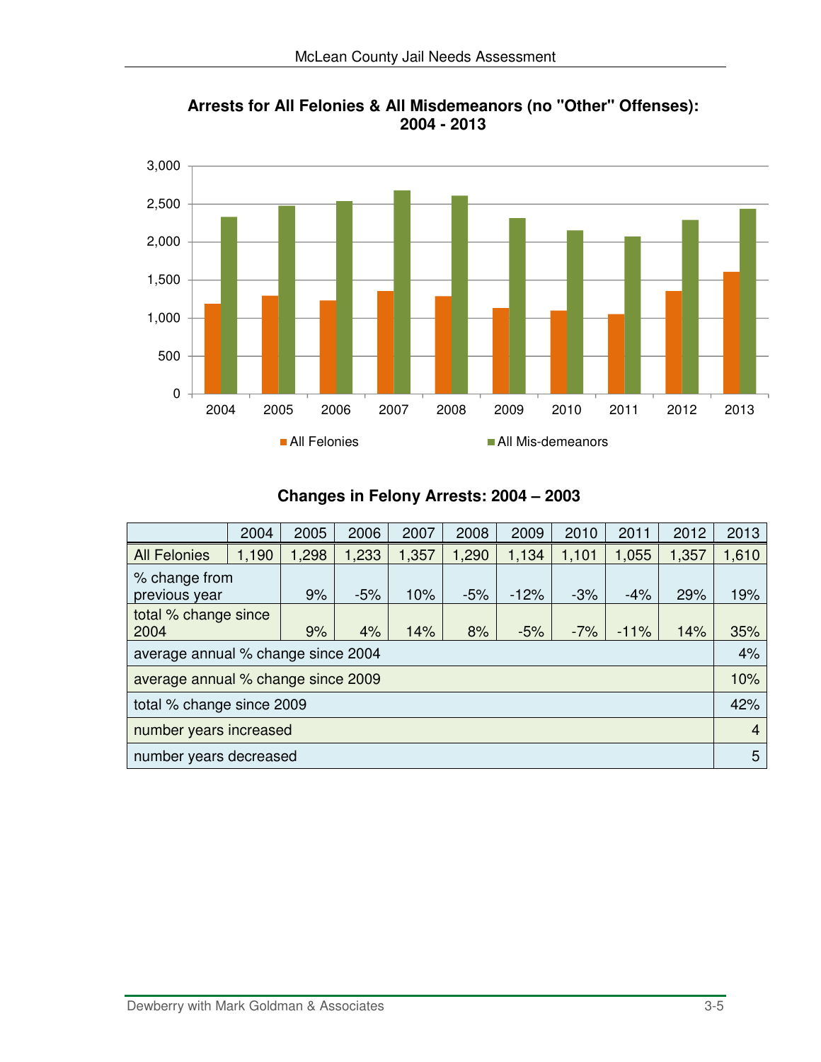

**Arrests for All Felonies & All Misdemeanors (no "Other" Offenses): 2004 - 2013**

### **Changes in Felony Arrests: 2004 – 2003**

|                                    | 2004  | 2005  | 2006  | 2007  | 2008  | 2009   | 2010  | 2011   | 2012  | 2013           |
|------------------------------------|-------|-------|-------|-------|-------|--------|-------|--------|-------|----------------|
| <b>All Felonies</b>                | 1,190 | 1,298 | 1,233 | 1,357 | 1,290 | 1,134  | 1,101 | 1,055  | 1,357 | 1,610          |
| % change from<br>previous year     |       | 9%    | $-5%$ | 10%   | $-5%$ | $-12%$ | $-3%$ | $-4%$  | 29%   | 19%            |
| total % change since<br>2004       |       | 9%    | 4%    | 14%   | 8%    | $-5%$  | $-7%$ | $-11%$ | 14%   | 35%            |
| average annual % change since 2004 |       |       |       |       |       |        |       |        |       | 4%             |
| average annual % change since 2009 |       |       |       |       |       |        |       |        |       | 10%            |
| total % change since 2009          |       |       |       |       |       |        |       |        | 42%   |                |
| number years increased             |       |       |       |       |       |        |       |        |       | $\overline{4}$ |
| number years decreased             |       |       |       |       |       |        |       |        | 5     |                |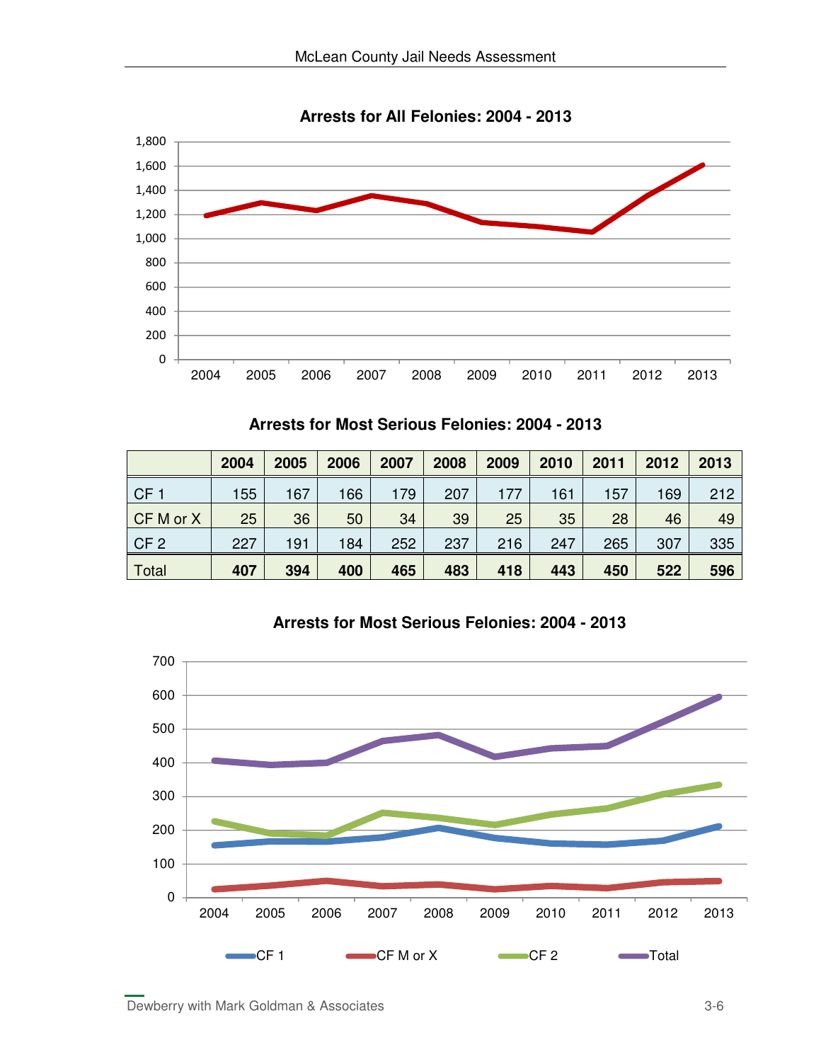

**Arrests for All Felonies: 2004 - 2013**

|  |  |  |  | Arrests for Most Serious Felonies: 2004 - 2013 |  |  |
|--|--|--|--|------------------------------------------------|--|--|
|--|--|--|--|------------------------------------------------|--|--|

|                 | 2004 | 2005 | 2006 | 2007 | 2008 | 2009 | 2010 | 2011 | 2012 | 2013 |
|-----------------|------|------|------|------|------|------|------|------|------|------|
| CF <sub>1</sub> | 155  | 167  | 166  | 179  | 207  | 177  | 161  | 157  | 169  | 212  |
| CF M or X       | 25   | 36   | 50   | 34   | 39   | 25   | 35   | 28   | 46   | 49   |
| CF <sub>2</sub> | 227  | 191  | 184  | 252  | 237  | 216  | 247  | 265  | 307  | 335  |
| Total           | 407  | 394  | 400  | 465  | 483  | 418  | 443  | 450  | 522  | 596  |



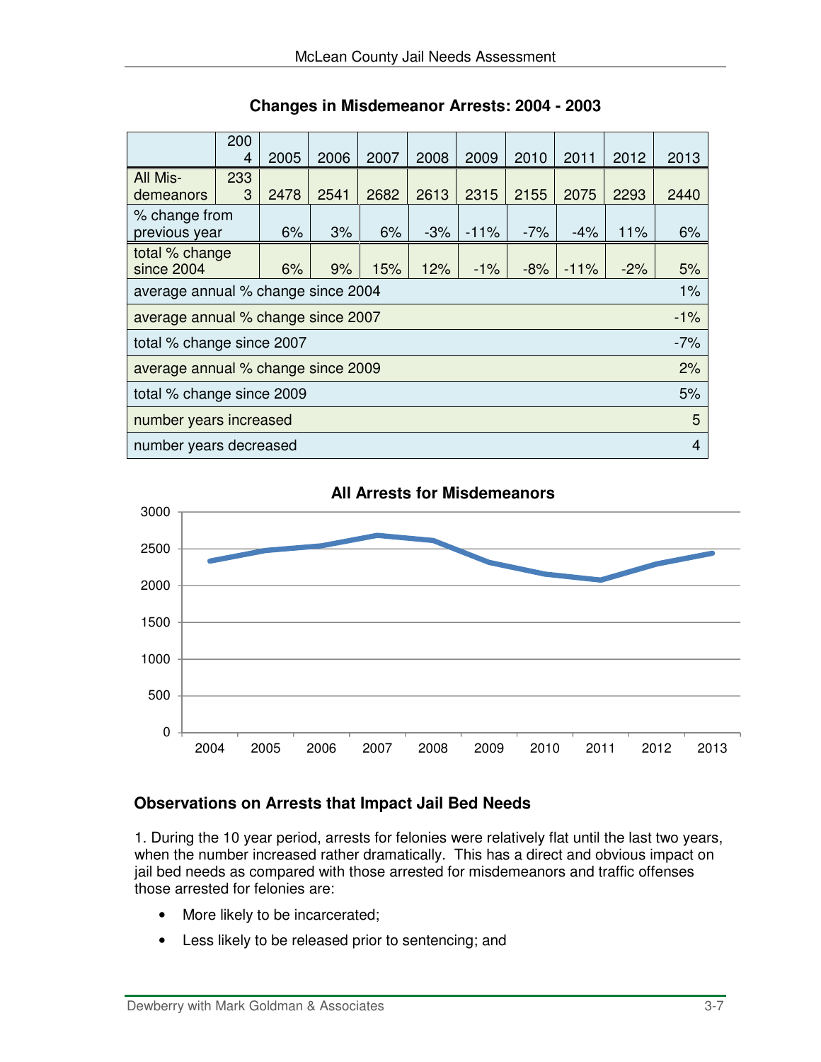|                                                                                              | 200<br>4 | 2005 | 2006 | 2007  | 2008   | 2009  | 2010  | 2011 | 2012 | 2013  |
|----------------------------------------------------------------------------------------------|----------|------|------|-------|--------|-------|-------|------|------|-------|
| All Mis-<br>demeanors                                                                        | 233<br>3 | 2478 | 2541 | 2682  | 2613   | 2315  | 2155  | 2075 | 2293 | 2440  |
| % change from<br>previous year                                                               | 6%       | 3%   | 6%   | $-3%$ | $-11%$ | $-7%$ | $-4%$ | 11%  | 6%   |       |
| total % change<br>since 2004<br>6%<br>9%<br>12%<br>$-8%$<br>$-11%$<br>15%<br>$-1\%$<br>$-2%$ |          |      |      |       |        |       |       | 5%   |      |       |
| average annual % change since 2004                                                           |          |      |      |       |        |       |       |      |      | $1\%$ |
| average annual % change since 2007                                                           |          |      |      |       |        |       |       |      |      | $-1%$ |
| total % change since 2007                                                                    |          |      |      |       |        |       |       |      |      | $-7%$ |
| average annual % change since 2009                                                           |          |      |      |       |        |       |       |      |      | 2%    |
| total % change since 2009                                                                    |          |      |      |       |        |       |       |      | 5%   |       |
| number years increased<br>5                                                                  |          |      |      |       |        |       |       |      |      |       |
| number years decreased                                                                       |          |      |      |       |        |       |       |      |      | 4     |

**Changes in Misdemeanor Arrests: 2004 - 2003**



#### **All Arrests for Misdemeanors**

### **Observations on Arrests that Impact Jail Bed Needs**

1. During the 10 year period, arrests for felonies were relatively flat until the last two years, when the number increased rather dramatically. This has a direct and obvious impact on jail bed needs as compared with those arrested for misdemeanors and traffic offenses those arrested for felonies are:

- More likely to be incarcerated;
- Less likely to be released prior to sentencing; and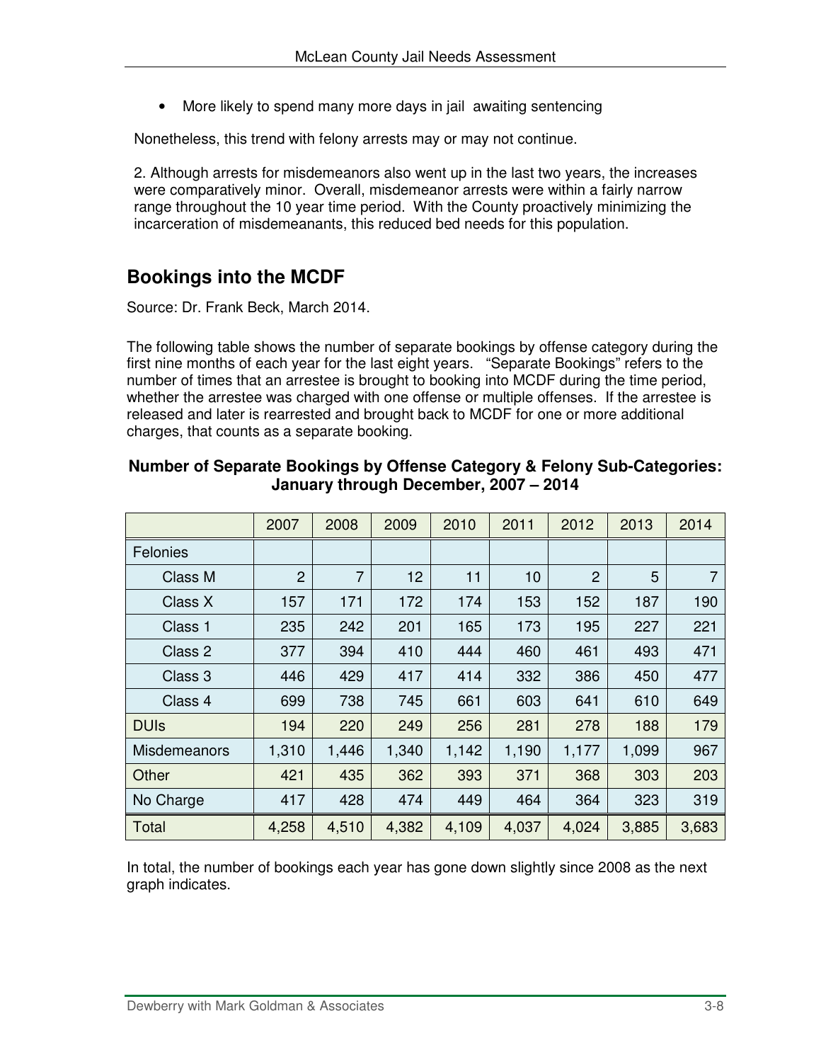• More likely to spend many more days in jail awaiting sentencing

Nonetheless, this trend with felony arrests may or may not continue.

2. Although arrests for misdemeanors also went up in the last two years, the increases were comparatively minor. Overall, misdemeanor arrests were within a fairly narrow range throughout the 10 year time period. With the County proactively minimizing the incarceration of misdemeanants, this reduced bed needs for this population.

### **Bookings into the MCDF**

Source: Dr. Frank Beck, March 2014.

The following table shows the number of separate bookings by offense category during the first nine months of each year for the last eight years. "Separate Bookings" refers to the number of times that an arrestee is brought to booking into MCDF during the time period, whether the arrestee was charged with one offense or multiple offenses. If the arrestee is released and later is rearrested and brought back to MCDF for one or more additional charges, that counts as a separate booking.

|                | 2007           | 2008           | 2009  | 2010  | 2011  | 2012           | 2013  | 2014           |
|----------------|----------------|----------------|-------|-------|-------|----------------|-------|----------------|
| Felonies       |                |                |       |       |       |                |       |                |
| <b>Class M</b> | $\overline{2}$ | $\overline{7}$ | 12    | 11    | 10    | $\overline{2}$ | 5     | $\overline{7}$ |
| Class X        | 157            | 171            | 172   | 174   | 153   | 152            | 187   | 190            |
| Class 1        | 235            | 242            | 201   | 165   | 173   | 195            | 227   | 221            |
| Class 2        | 377            | 394            | 410   | 444   | 460   | 461            | 493   | 471            |
| Class 3        | 446            | 429            | 417   | 414   | 332   | 386            | 450   | 477            |
| Class 4        | 699            | 738            | 745   | 661   | 603   | 641            | 610   | 649            |
| <b>DUIs</b>    | 194            | 220            | 249   | 256   | 281   | 278            | 188   | 179            |
| Misdemeanors   | 1,310          | 1,446          | 1,340 | 1,142 | 1,190 | 1,177          | 1,099 | 967            |
| Other          | 421            | 435            | 362   | 393   | 371   | 368            | 303   | 203            |
| No Charge      | 417            | 428            | 474   | 449   | 464   | 364            | 323   | 319            |
| Total          | 4,258          | 4,510          | 4,382 | 4,109 | 4,037 | 4,024          | 3,885 | 3,683          |

#### **Number of Separate Bookings by Offense Category & Felony Sub-Categories: January through December, 2007 – 2014**

In total, the number of bookings each year has gone down slightly since 2008 as the next graph indicates.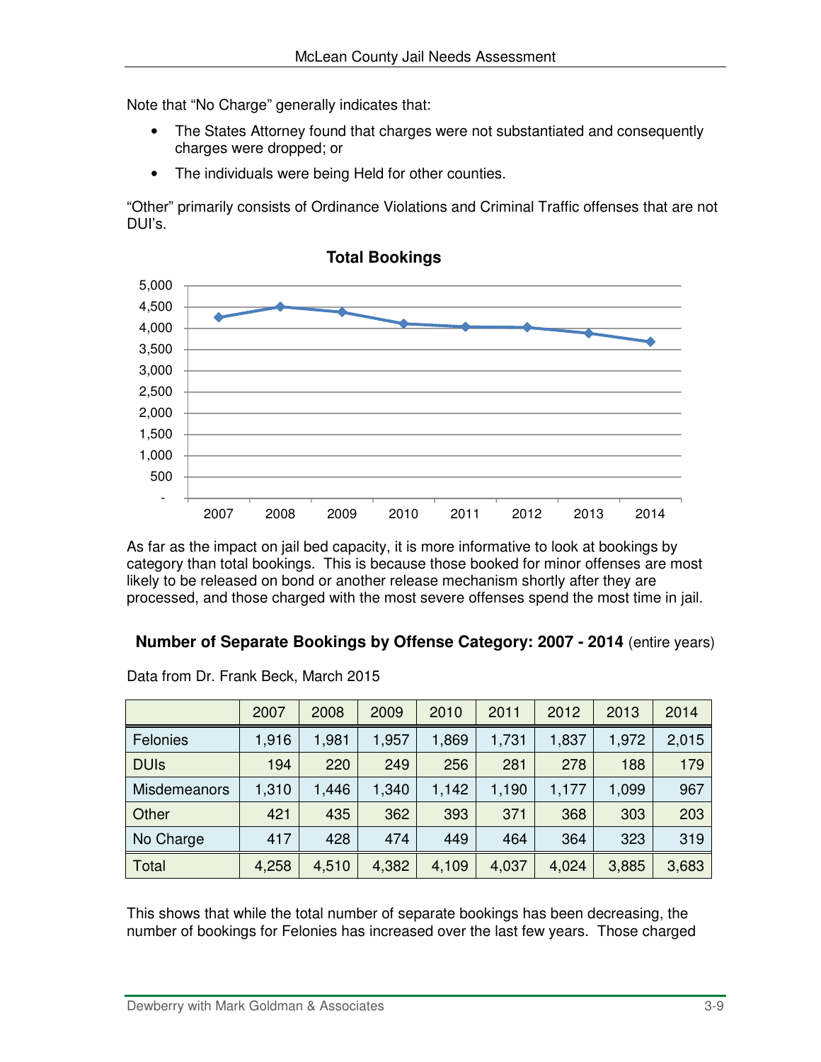Note that "No Charge" generally indicates that:

- The States Attorney found that charges were not substantiated and consequently charges were dropped; or
- The individuals were being Held for other counties.

"Other" primarily consists of Ordinance Violations and Criminal Traffic offenses that are not DUI's.



**Total Bookings**

As far as the impact on jail bed capacity, it is more informative to look at bookings by category than total bookings. This is because those booked for minor offenses are most likely to be released on bond or another release mechanism shortly after they are processed, and those charged with the most severe offenses spend the most time in jail.

### **Number of Separate Bookings by Offense Category: 2007 - 2014** (entire years)

|              | 2007  | 2008  | 2009  | 2010  | 2011  | 2012  | 2013  | 2014  |
|--------------|-------|-------|-------|-------|-------|-------|-------|-------|
| Felonies     | 1,916 | 1,981 | 1,957 | 1,869 | 1,731 | 1,837 | 1,972 | 2,015 |
| <b>DUIs</b>  | 194   | 220   | 249   | 256   | 281   | 278   | 188   | 179   |
| Misdemeanors | 1,310 | 1,446 | 1,340 | 1,142 | 1,190 | 1,177 | 1,099 | 967   |
| Other        | 421   | 435   | 362   | 393   | 371   | 368   | 303   | 203   |
| No Charge    | 417   | 428   | 474   | 449   | 464   | 364   | 323   | 319   |
| Total        | 4,258 | 4,510 | 4,382 | 4,109 | 4,037 | 4,024 | 3,885 | 3,683 |

Data from Dr. Frank Beck, March 2015

This shows that while the total number of separate bookings has been decreasing, the number of bookings for Felonies has increased over the last few years. Those charged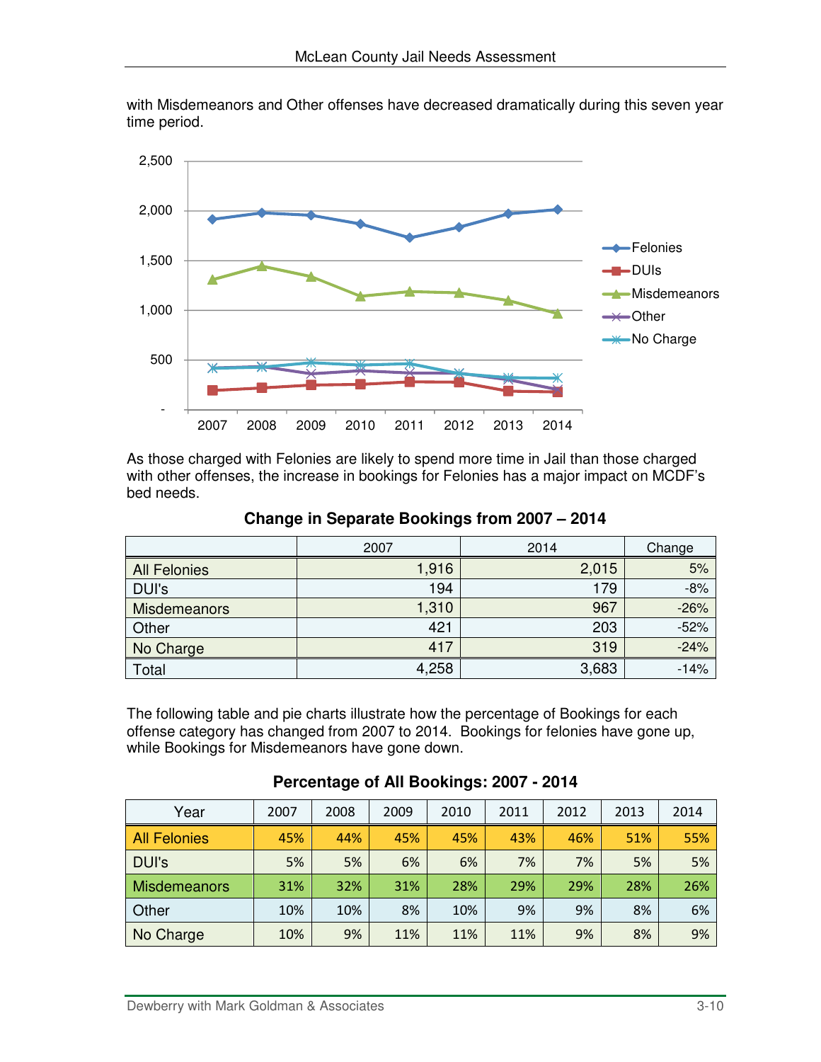

with Misdemeanors and Other offenses have decreased dramatically during this seven year time period.

As those charged with Felonies are likely to spend more time in Jail than those charged with other offenses, the increase in bookings for Felonies has a major impact on MCDF's bed needs.

|                     | 2007  | 2014  | Change |
|---------------------|-------|-------|--------|
| <b>All Felonies</b> | 1,916 | 2,015 | 5%     |
| DUI's               | 194   | 179   | $-8%$  |
| Misdemeanors        | 1,310 | 967   | $-26%$ |
| Other               | 421   | 203   | $-52%$ |
| No Charge           | 417   | 319   | $-24%$ |
| Total               | 4,258 | 3,683 | $-14%$ |

**Change in Separate Bookings from 2007 – 2014** 

The following table and pie charts illustrate how the percentage of Bookings for each offense category has changed from 2007 to 2014. Bookings for felonies have gone up, while Bookings for Misdemeanors have gone down.

| Year                | 2007 | 2008 | 2009 | 2010 | 2011 | 2012 | 2013 | 2014 |
|---------------------|------|------|------|------|------|------|------|------|
| <b>All Felonies</b> | 45%  | 44%  | 45%  | 45%  | 43%  | 46%  | 51%  | 55%  |
| <b>DUI's</b>        | 5%   | 5%   | 6%   | 6%   | 7%   | 7%   | 5%   | 5%   |
| <b>Misdemeanors</b> | 31%  | 32%  | 31%  | 28%  | 29%  | 29%  | 28%  | 26%  |
| Other               | 10%  | 10%  | 8%   | 10%  | 9%   | 9%   | 8%   | 6%   |
| No Charge           | 10%  | 9%   | 11%  | 11%  | 11%  | 9%   | 8%   | 9%   |

**Percentage of All Bookings: 2007 - 2014**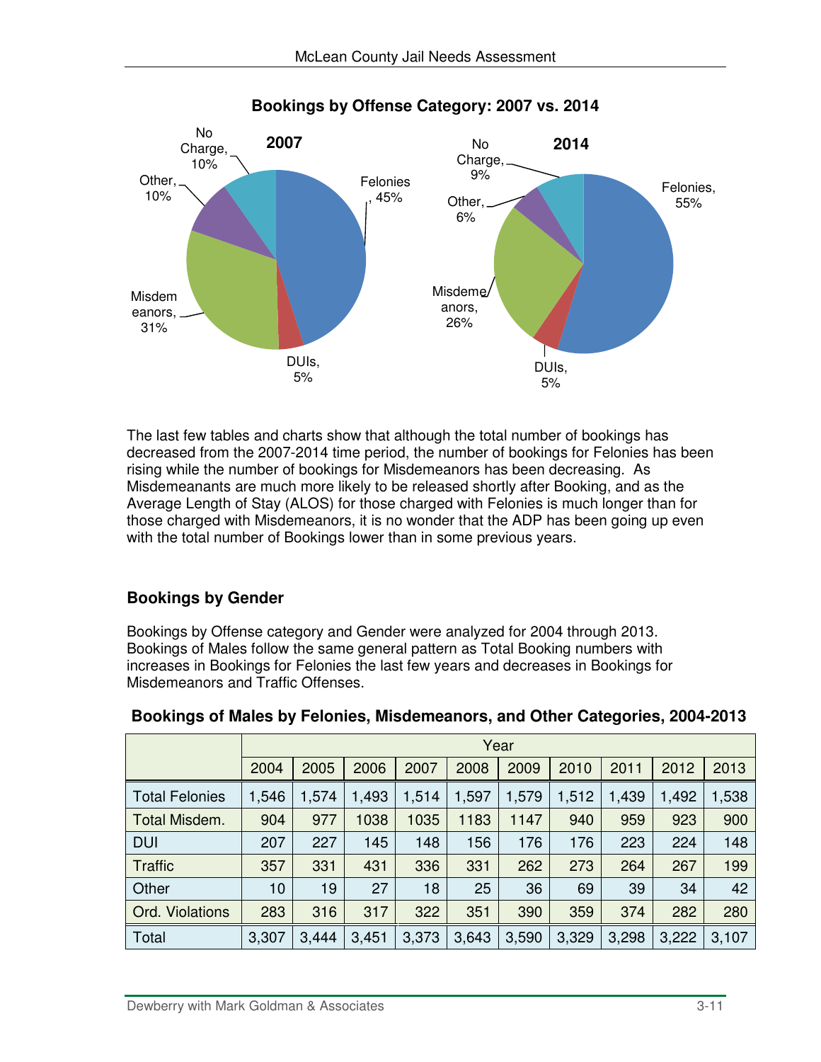

#### **Bookings by Offense Category: 2007 vs. 2014**

The last few tables and charts show that although the total number of bookings has decreased from the 2007-2014 time period, the number of bookings for Felonies has been rising while the number of bookings for Misdemeanors has been decreasing. As Misdemeanants are much more likely to be released shortly after Booking, and as the Average Length of Stay (ALOS) for those charged with Felonies is much longer than for those charged with Misdemeanors, it is no wonder that the ADP has been going up even with the total number of Bookings lower than in some previous years.

### **Bookings by Gender**

Bookings by Offense category and Gender were analyzed for 2004 through 2013. Bookings of Males follow the same general pattern as Total Booking numbers with increases in Bookings for Felonies the last few years and decreases in Bookings for Misdemeanors and Traffic Offenses.

|                       |       |       |       |       |       | Year  |       |       |       |       |
|-----------------------|-------|-------|-------|-------|-------|-------|-------|-------|-------|-------|
|                       | 2004  | 2005  | 2006  | 2007  | 2008  | 2009  | 2010  | 2011  | 2012  | 2013  |
| <b>Total Felonies</b> | 1,546 | 1,574 | 1,493 | 1,514 | 1,597 | 1,579 | 1,512 | 1,439 | 1,492 | ,538  |
| Total Misdem.         | 904   | 977   | 1038  | 1035  | 1183  | 1147  | 940   | 959   | 923   | 900   |
| <b>DUI</b>            | 207   | 227   | 145   | 148   | 156   | 176   | 176   | 223   | 224   | 148   |
| <b>Traffic</b>        | 357   | 331   | 431   | 336   | 331   | 262   | 273   | 264   | 267   | 199   |
| Other                 | 10    | 19    | 27    | 18    | 25    | 36    | 69    | 39    | 34    | 42    |
| Ord. Violations       | 283   | 316   | 317   | 322   | 351   | 390   | 359   | 374   | 282   | 280   |
| Total                 | 3,307 | 3,444 | 3,451 | 3,373 | 3,643 | 3,590 | 3,329 | 3,298 | 3,222 | 3,107 |

#### **Bookings of Males by Felonies, Misdemeanors, and Other Categories, 2004-2013**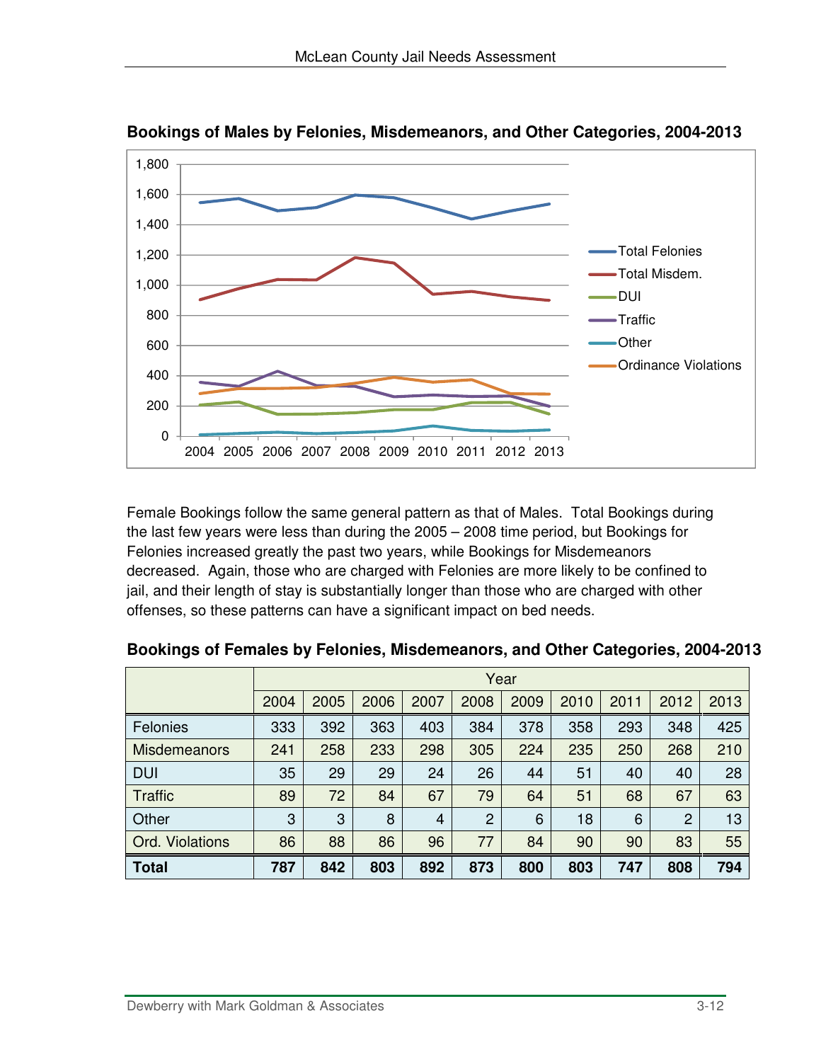

**Bookings of Males by Felonies, Misdemeanors, and Other Categories, 2004-2013** 

Female Bookings follow the same general pattern as that of Males. Total Bookings during the last few years were less than during the 2005 – 2008 time period, but Bookings for Felonies increased greatly the past two years, while Bookings for Misdemeanors decreased. Again, those who are charged with Felonies are more likely to be confined to jail, and their length of stay is substantially longer than those who are charged with other offenses, so these patterns can have a significant impact on bed needs.

|                     |      |      |      |                |                | Year |      |      |                |      |
|---------------------|------|------|------|----------------|----------------|------|------|------|----------------|------|
|                     | 2004 | 2005 | 2006 | 2007           | 2008           | 2009 | 2010 | 2011 | 2012           | 2013 |
| Felonies            | 333  | 392  | 363  | 403            | 384            | 378  | 358  | 293  | 348            | 425  |
| <b>Misdemeanors</b> | 241  | 258  | 233  | 298            | 305            | 224  | 235  | 250  | 268            | 210  |
| <b>DUI</b>          | 35   | 29   | 29   | 24             | 26             | 44   | 51   | 40   | 40             | 28   |
| <b>Traffic</b>      | 89   | 72   | 84   | 67             | 79             | 64   | 51   | 68   | 67             | 63   |
| Other               | 3    | 3    | 8    | $\overline{4}$ | $\overline{2}$ | 6    | 18   | 6    | $\overline{2}$ | 13   |
| Ord. Violations     | 86   | 88   | 86   | 96             | 77             | 84   | 90   | 90   | 83             | 55   |
| <b>Total</b>        | 787  | 842  | 803  | 892            | 873            | 800  | 803  | 747  | 808            | 794  |

**Bookings of Females by Felonies, Misdemeanors, and Other Categories, 2004-2013**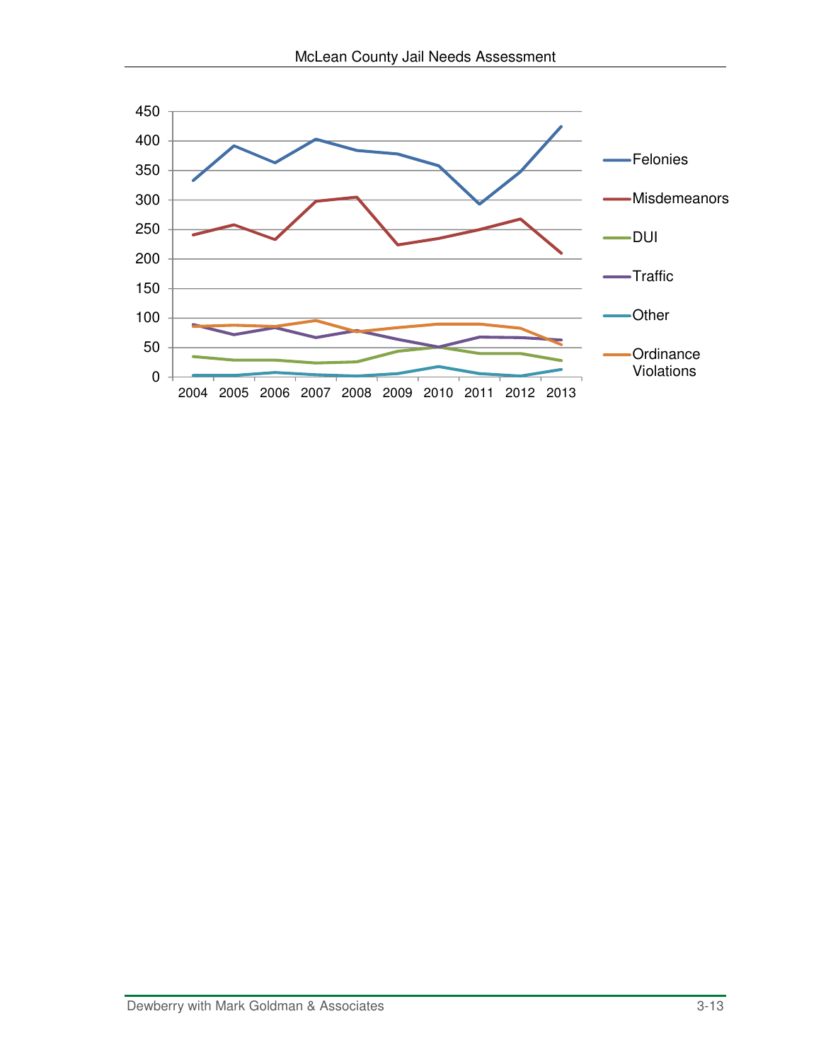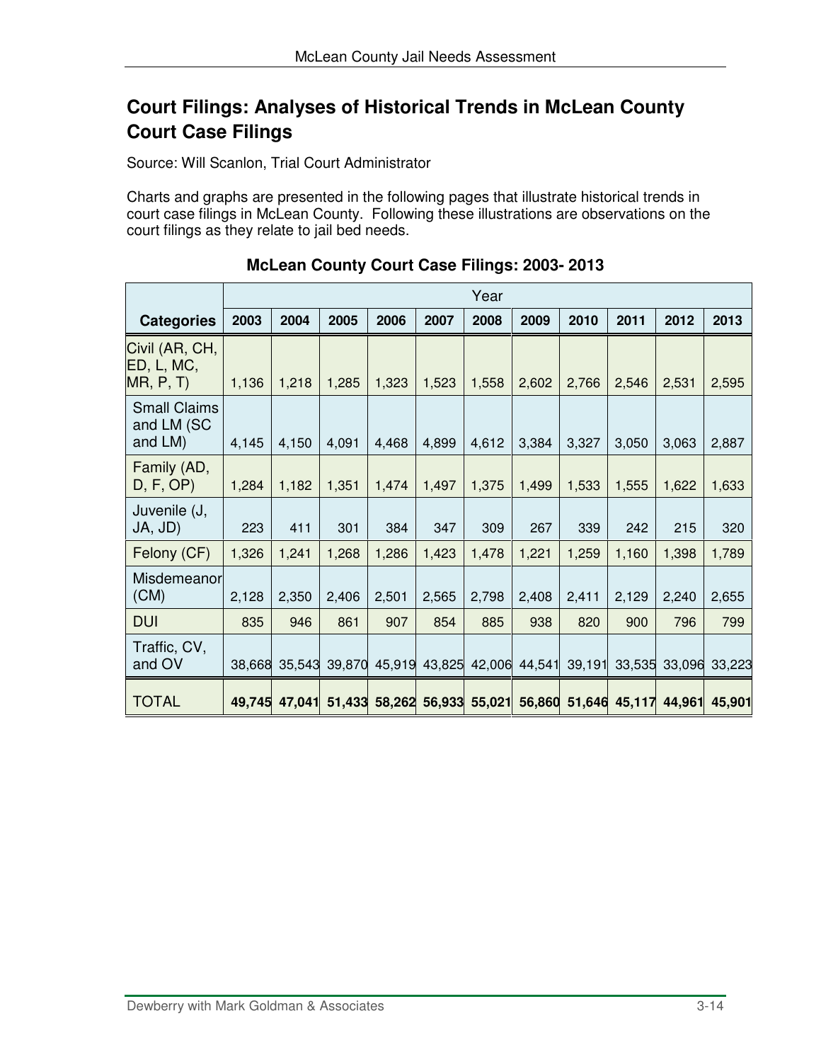# **Court Filings: Analyses of Historical Trends in McLean County Court Case Filings**

Source: Will Scanlon, Trial Court Administrator

Charts and graphs are presented in the following pages that illustrate historical trends in court case filings in McLean County. Following these illustrations are observations on the court filings as they relate to jail bed needs.

|                                              |        |               |        |        |        | Year   |        |        |               |        |        |
|----------------------------------------------|--------|---------------|--------|--------|--------|--------|--------|--------|---------------|--------|--------|
| <b>Categories</b>                            | 2003   | 2004          | 2005   | 2006   | 2007   | 2008   | 2009   | 2010   | 2011          | 2012   | 2013   |
| Civil (AR, CH,<br>ED, L, MC,<br>MR, P, T     | 1,136  | 1,218         | 1,285  | 1,323  | 1,523  | 1,558  | 2,602  | 2,766  | 2,546         | 2,531  | 2,595  |
| <b>Small Claims</b><br>and LM (SC<br>and LM) | 4,145  | 4,150         | 4,091  | 4,468  | 4,899  | 4,612  | 3,384  | 3,327  | 3,050         | 3,063  | 2,887  |
| Family (AD,<br>D, F, OP                      | 1,284  | 1,182         | 1,351  | 1,474  | 1,497  | 1,375  | 1,499  | 1,533  | 1,555         | 1,622  | 1,633  |
| Juvenile (J,<br>JA, JD)                      | 223    | 411           | 301    | 384    | 347    | 309    | 267    | 339    | 242           | 215    | 320    |
| Felony (CF)                                  | 1,326  | 1,241         | 1,268  | 1,286  | 1,423  | 1,478  | 1,221  | 1,259  | 1,160         | 1,398  | 1,789  |
| Misdemeanor<br>(CM)                          | 2,128  | 2,350         | 2,406  | 2,501  | 2,565  | 2,798  | 2,408  | 2,411  | 2,129         | 2,240  | 2,655  |
| <b>DUI</b>                                   | 835    | 946           | 861    | 907    | 854    | 885    | 938    | 820    | 900           | 796    | 799    |
| Traffic, CV,<br>and OV                       | 38,668 | 35,543        | 39,870 | 45,919 | 43,825 | 42,006 | 44,541 | 39,191 | 33,535        | 33,096 | 33,223 |
| <b>TOTAL</b>                                 |        | 49,745 47,041 | 51,433 | 58,262 | 56,933 | 55,021 | 56,860 |        | 51,646 45,117 | 44,961 | 45,901 |

### **McLean County Court Case Filings: 2003- 2013**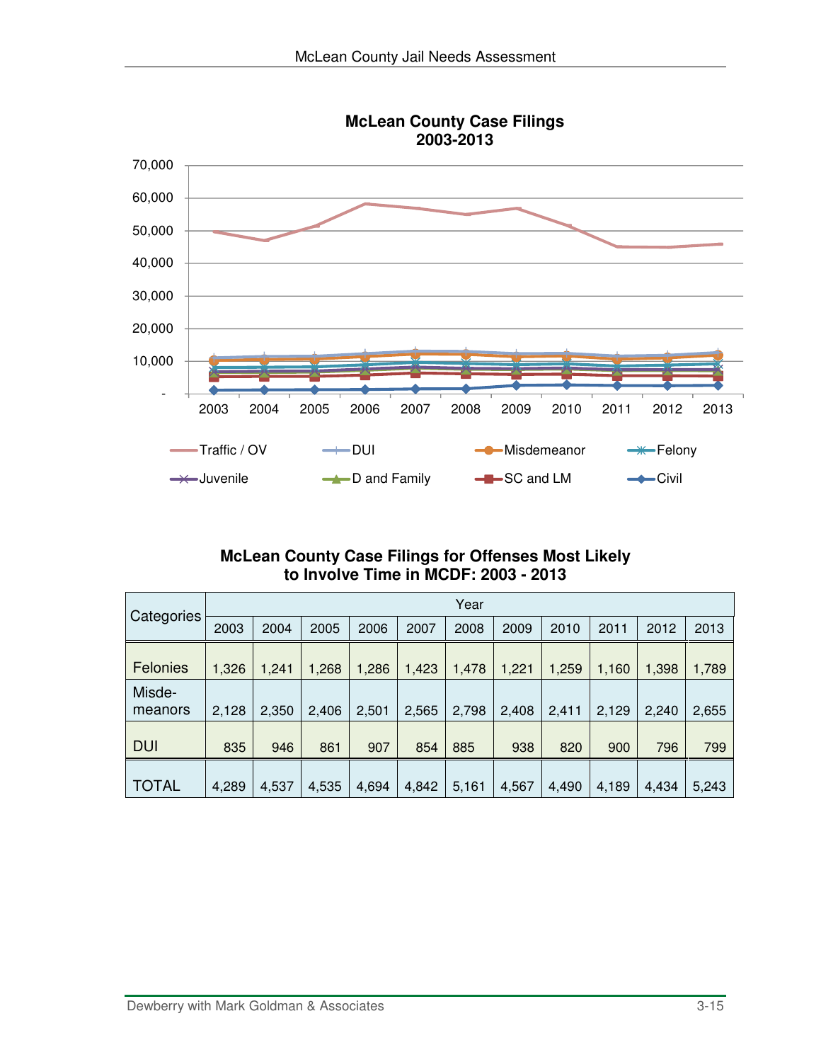

### **McLean County Case Filings for Offenses Most Likely to Involve Time in MCDF: 2003 - 2013**

|                   |       |       |       |       |       | Year  |       |       |       |       |       |
|-------------------|-------|-------|-------|-------|-------|-------|-------|-------|-------|-------|-------|
| Categories        | 2003  | 2004  | 2005  | 2006  | 2007  | 2008  | 2009  | 2010  | 2011  | 2012  | 2013  |
| Felonies          | 1,326 | 1,241 | 1,268 | 1,286 | 1,423 | 1,478 | 1,221 | 1,259 | 1,160 | 1,398 | 1,789 |
| Misde-<br>meanors | 2,128 | 2,350 | 2,406 | 2,501 | 2,565 | 2,798 | 2,408 | 2,411 | 2,129 | 2,240 | 2,655 |
| <b>DUI</b>        | 835   | 946   | 861   | 907   | 854   | 885   | 938   | 820   | 900   | 796   | 799   |
| <b>TOTAL</b>      | 4,289 | 4,537 | 4,535 | 4,694 | 4,842 | 5,161 | 4,567 | 4,490 | 4,189 | 4,434 | 5,243 |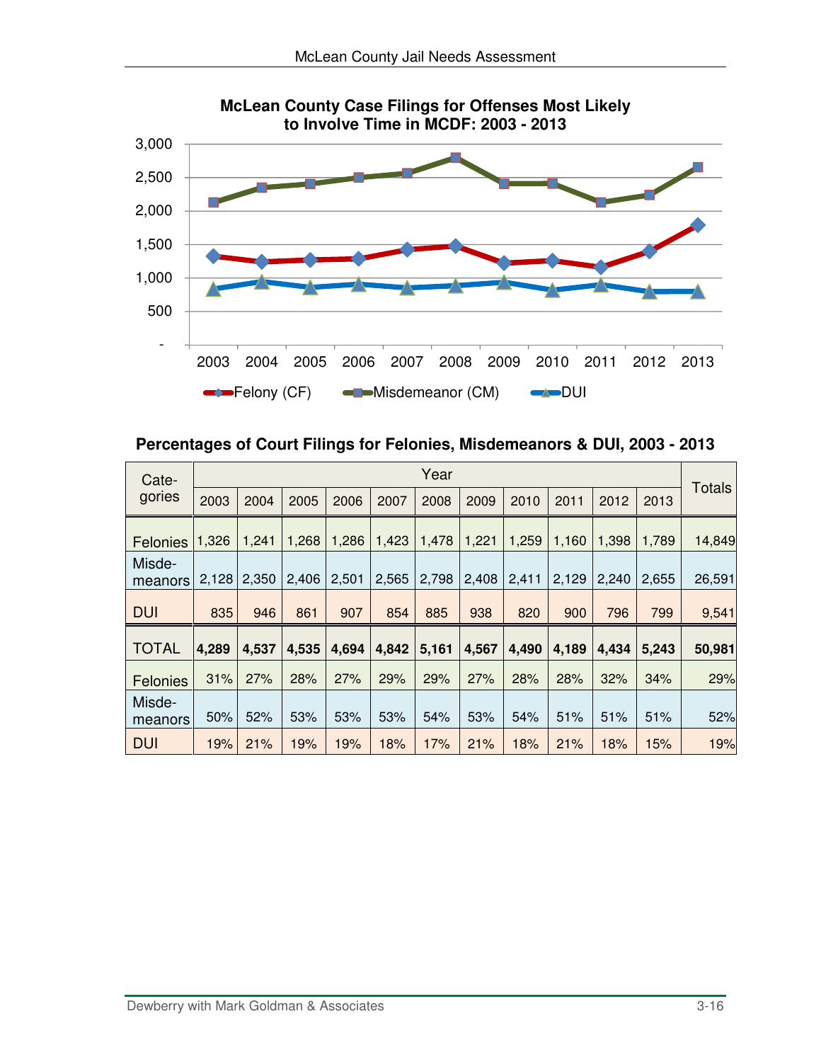

**Percentages of Court Filings for Felonies, Misdemeanors & DUI, 2003 - 2013** 

| Cate-             |       |       |       |       |       | Year  |       |       |       |       |       |        |
|-------------------|-------|-------|-------|-------|-------|-------|-------|-------|-------|-------|-------|--------|
| gories            | 2003  | 2004  | 2005  | 2006  | 2007  | 2008  | 2009  | 2010  | 2011  | 2012  | 2013  | Totals |
| <b>Felonies</b>   | 1,326 | 1,241 | 1,268 | 1,286 | 1,423 | 1,478 | 1,221 | 1,259 | 1,160 | 1,398 | 1,789 | 14,849 |
| Misde-<br>meanors | 2,128 | 2,350 | 2,406 | 2,501 | 2,565 | 2,798 | 2,408 | 2,411 | 2,129 | 2,240 | 2,655 | 26,591 |
| <b>DUI</b>        | 835   | 946   | 861   | 907   | 854   | 885   | 938   | 820   | 900   | 796   | 799   | 9,541  |
| <b>TOTAL</b>      | 4,289 | 4,537 | 4,535 | 4,694 | 4,842 | 5,161 | 4,567 | 4,490 | 4,189 | 4,434 | 5,243 | 50,981 |
| <b>Felonies</b>   | 31%   | 27%   | 28%   | 27%   | 29%   | 29%   | 27%   | 28%   | 28%   | 32%   | 34%   | 29%    |
| Misde-<br>meanors | 50%   | 52%   | 53%   | 53%   | 53%   | 54%   | 53%   | 54%   | 51%   | 51%   | 51%   | 52%    |
| <b>DUI</b>        | 19%   | 21%   | 19%   | 19%   | 18%   | 17%   | 21%   | 18%   | 21%   | 18%   | 15%   | 19%    |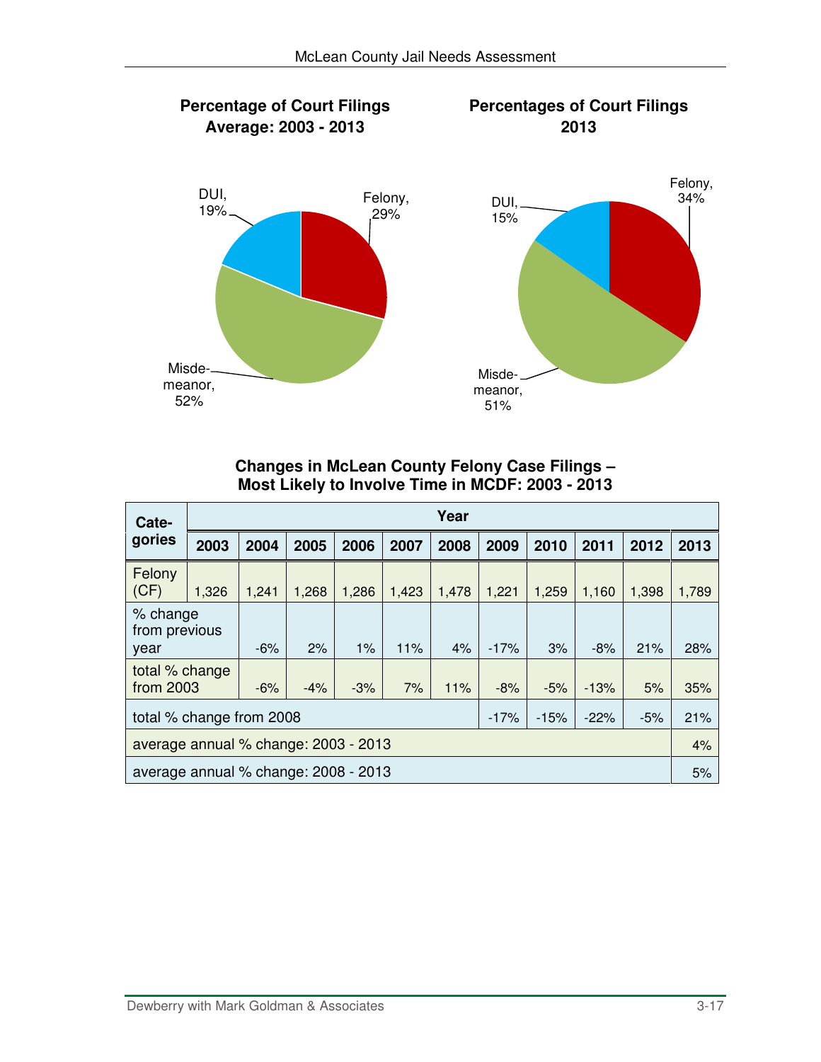

#### **Changes in McLean County Felony Case Filings – Most Likely to Involve Time in MCDF: 2003 - 2013**

| Cate-                                |                          |       |       |       |       | Year  |        |        |        |       |       |
|--------------------------------------|--------------------------|-------|-------|-------|-------|-------|--------|--------|--------|-------|-------|
| gories                               | 2003                     | 2004  | 2005  | 2006  | 2007  | 2008  | 2009   | 2010   | 2011   | 2012  | 2013  |
| Felony<br>(CF)                       | 1,326                    | 1,241 | 1,268 | 1,286 | 1,423 | 1,478 | 1,221  | 1,259  | 1,160  | 1,398 | 1,789 |
| % change<br>from previous<br>year    |                          | $-6%$ | 2%    | 1%    | 11%   | 4%    | $-17%$ | 3%     | $-8%$  | 21%   | 28%   |
| total % change<br>from 2003          |                          | $-6%$ | $-4%$ | $-3%$ | 7%    | 11%   | $-8%$  | $-5%$  | $-13%$ | 5%    | 35%   |
|                                      | total % change from 2008 |       |       |       |       |       | $-17%$ | $-15%$ | $-22%$ | $-5%$ | 21%   |
| average annual % change: 2003 - 2013 |                          |       |       |       |       |       |        |        |        |       | 4%    |
| average annual % change: 2008 - 2013 |                          |       |       |       |       |       |        | 5%     |        |       |       |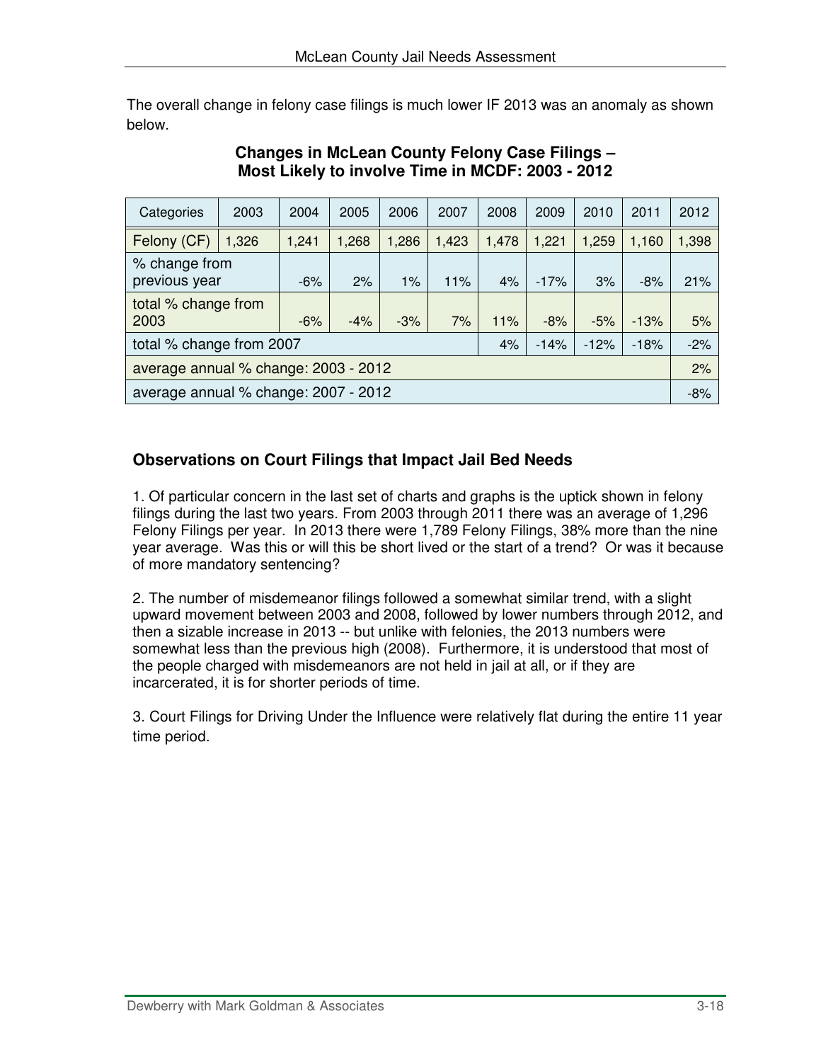The overall change in felony case filings is much lower IF 2013 was an anomaly as shown below.

| Categories                           | 2003                                 | 2004  | 2005  | 2006  | 2007  | 2008  | 2009   | 2010   | 2011   | 2012  |
|--------------------------------------|--------------------------------------|-------|-------|-------|-------|-------|--------|--------|--------|-------|
| Felony (CF)                          | 1,326                                | 1,241 | 1,268 | 1,286 | 1,423 | 1,478 | 1,221  | 1,259  | 1,160  | 1,398 |
| % change from<br>previous year       |                                      | $-6%$ | 2%    | $1\%$ | 11%   | 4%    | $-17%$ | 3%     | $-8%$  | 21%   |
| total % change from<br>2003          |                                      | $-6%$ | $-4%$ | $-3%$ | 7%    | 11%   | $-8%$  | $-5%$  | $-13%$ | 5%    |
| total % change from 2007             |                                      |       |       |       |       | 4%    | $-14%$ | $-12%$ | $-18%$ | $-2%$ |
| average annual % change: 2003 - 2012 |                                      |       |       |       |       |       |        |        |        | 2%    |
|                                      | average annual % change: 2007 - 2012 |       |       |       |       |       |        | $-8%$  |        |       |

### **Changes in McLean County Felony Case Filings – Most Likely to involve Time in MCDF: 2003 - 2012**

### **Observations on Court Filings that Impact Jail Bed Needs**

1. Of particular concern in the last set of charts and graphs is the uptick shown in felony filings during the last two years. From 2003 through 2011 there was an average of 1,296 Felony Filings per year. In 2013 there were 1,789 Felony Filings, 38% more than the nine year average. Was this or will this be short lived or the start of a trend? Or was it because of more mandatory sentencing?

2. The number of misdemeanor filings followed a somewhat similar trend, with a slight upward movement between 2003 and 2008, followed by lower numbers through 2012, and then a sizable increase in 2013 -- but unlike with felonies, the 2013 numbers were somewhat less than the previous high (2008). Furthermore, it is understood that most of the people charged with misdemeanors are not held in jail at all, or if they are incarcerated, it is for shorter periods of time.

3. Court Filings for Driving Under the Influence were relatively flat during the entire 11 year time period.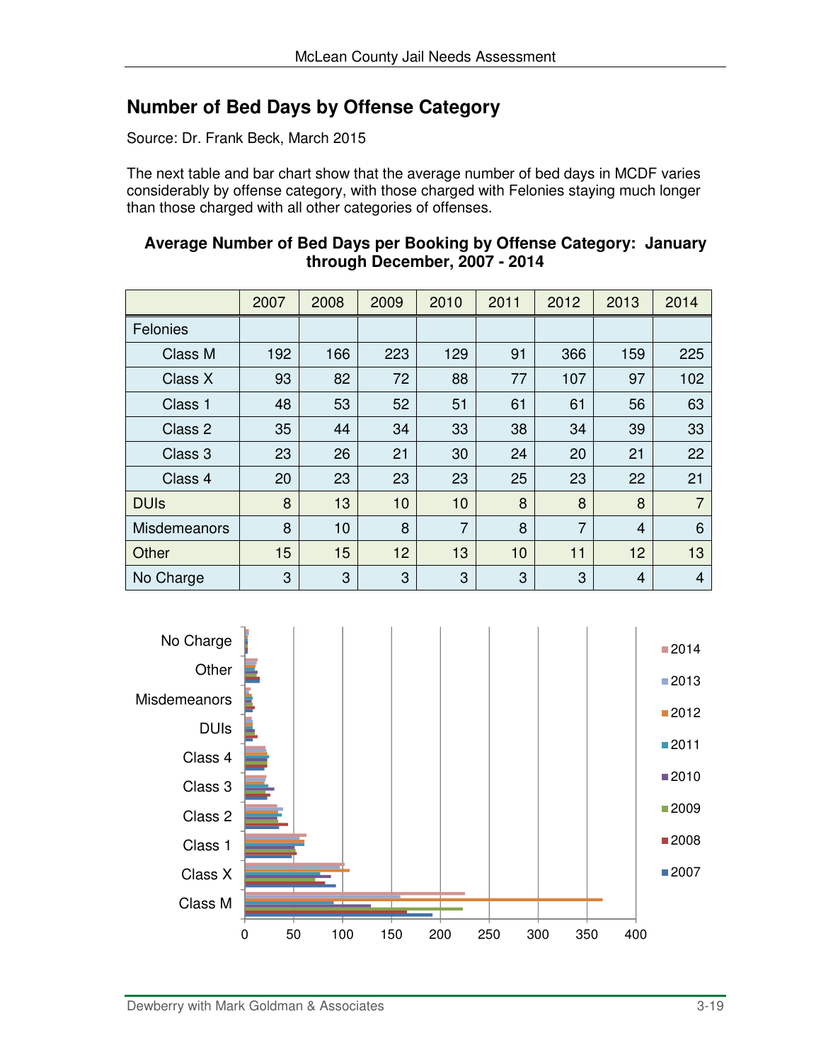# **Number of Bed Days by Offense Category**

Source: Dr. Frank Beck, March 2015

The next table and bar chart show that the average number of bed days in MCDF varies considerably by offense category, with those charged with Felonies staying much longer than those charged with all other categories of offenses.

|                     | 2007 | 2008 | 2009 | 2010           | 2011 | 2012           | 2013 | 2014 |
|---------------------|------|------|------|----------------|------|----------------|------|------|
| Felonies            |      |      |      |                |      |                |      |      |
| Class M             | 192  | 166  | 223  | 129            | 91   | 366            | 159  | 225  |
| Class X             | 93   | 82   | 72   | 88             | 77   | 107            | 97   | 102  |
| Class 1             | 48   | 53   | 52   | 51             | 61   | 61             | 56   | 63   |
| Class 2             | 35   | 44   | 34   | 33             | 38   | 34             | 39   | 33   |
| Class 3             | 23   | 26   | 21   | 30             | 24   | 20             | 21   | 22   |
| Class 4             | 20   | 23   | 23   | 23             | 25   | 23             | 22   | 21   |
| <b>DUIs</b>         | 8    | 13   | 10   | 10             | 8    | 8              | 8    | 7    |
| <b>Misdemeanors</b> | 8    | 10   | 8    | $\overline{7}$ | 8    | $\overline{7}$ | 4    | 6    |
| Other               | 15   | 15   | 12   | 13             | 10   | 11             | 12   | 13   |
| No Charge           | 3    | 3    | 3    | 3              | 3    | 3              | 4    | 4    |



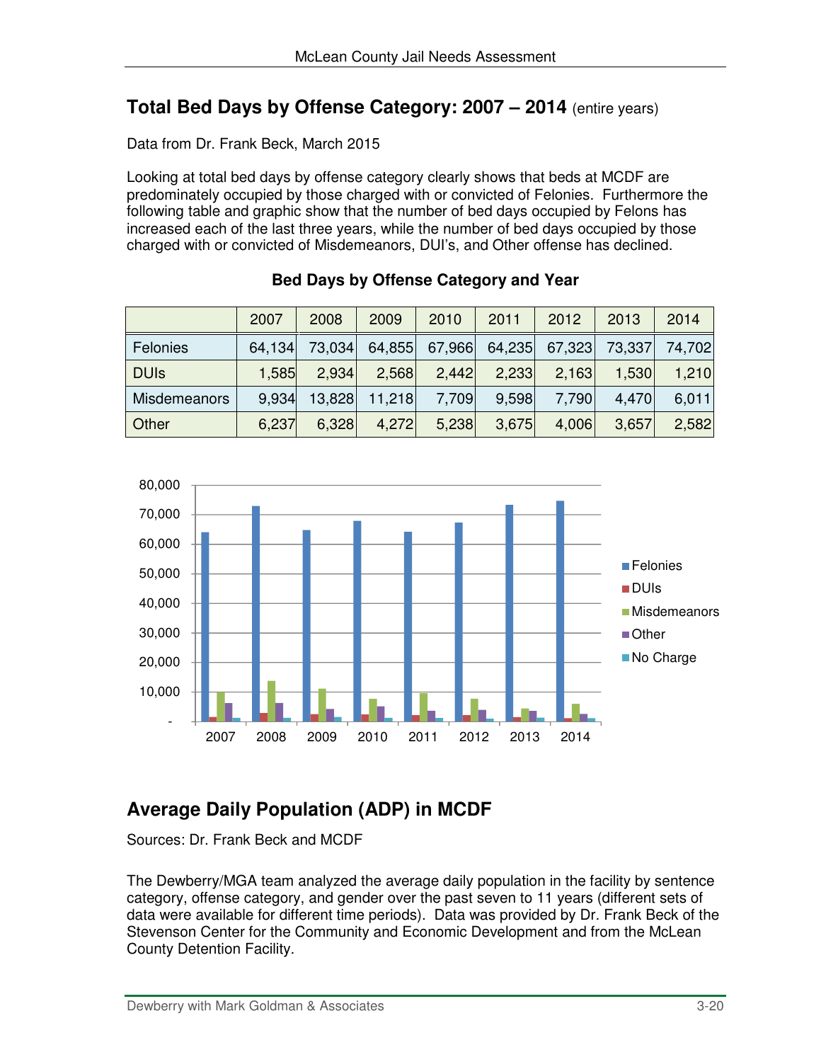### **Total Bed Days by Offense Category: 2007 – 2014** (entire years)

Data from Dr. Frank Beck, March 2015

Looking at total bed days by offense category clearly shows that beds at MCDF are predominately occupied by those charged with or convicted of Felonies. Furthermore the following table and graphic show that the number of bed days occupied by Felons has increased each of the last three years, while the number of bed days occupied by those charged with or convicted of Misdemeanors, DUI's, and Other offense has declined.

|              | 2007   | 2008   | 2009          | 2010  | 2011  | 2012                        | 2013  | 2014          |
|--------------|--------|--------|---------------|-------|-------|-----------------------------|-------|---------------|
| Felonies     | 64,134 | 73,034 |               |       |       | 64,855 67,966 64,235 67,323 |       | 73,337 74,702 |
| <b>DUIS</b>  | 1,585  | 2,934  | 2,568         | 2,442 | 2,233 | 2,163                       | 1,530 | 1,210         |
| Misdemeanors | 9,934  |        | 13,828 11,218 | 7,709 | 9.598 | 7,790                       | 4,470 | 6,011         |
| <b>Other</b> | 6,237  | 6,328  | 4,272         | 5,238 | 3,675 | 4,006                       | 3,657 | 2,582         |

|  |  | Bed Days by Offense Category and Year |  |
|--|--|---------------------------------------|--|
|  |  |                                       |  |



# **Average Daily Population (ADP) in MCDF**

Sources: Dr. Frank Beck and MCDF

The Dewberry/MGA team analyzed the average daily population in the facility by sentence category, offense category, and gender over the past seven to 11 years (different sets of data were available for different time periods). Data was provided by Dr. Frank Beck of the Stevenson Center for the Community and Economic Development and from the McLean County Detention Facility.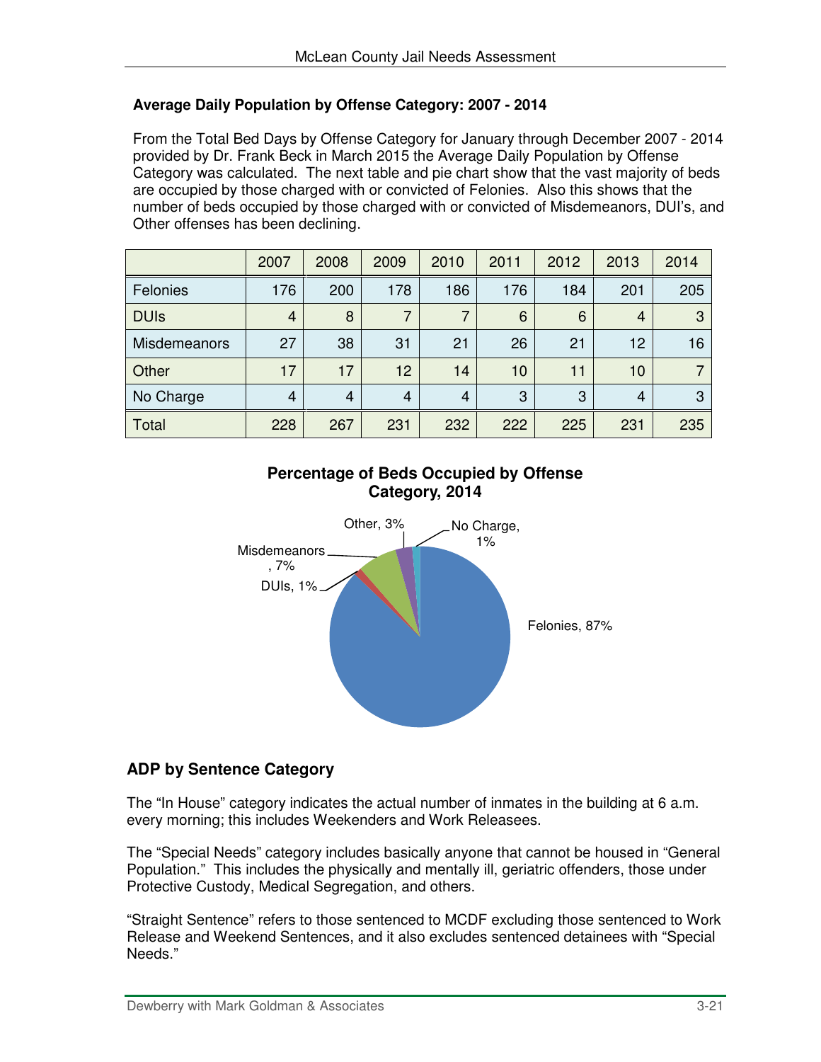#### **Average Daily Population by Offense Category: 2007 - 2014**

From the Total Bed Days by Offense Category for January through December 2007 - 2014 provided by Dr. Frank Beck in March 2015 the Average Daily Population by Offense Category was calculated. The next table and pie chart show that the vast majority of beds are occupied by those charged with or convicted of Felonies. Also this shows that the number of beds occupied by those charged with or convicted of Misdemeanors, DUI's, and Other offenses has been declining.

|                     | 2007           | 2008           | 2009 | 2010           | 2011 | 2012 | 2013 | 2014 |
|---------------------|----------------|----------------|------|----------------|------|------|------|------|
| Felonies            | 176            | 200            | 178  | 186            | 176  | 184  | 201  | 205  |
| <b>DUIs</b>         | 4              | 8              | 7    | 7              | 6    | 6    | 4    | 3    |
| <b>Misdemeanors</b> | 27             | 38             | 31   | 21             | 26   | 21   | 12   | 16   |
| Other               | 17             | 17             | 12   | 14             | 10   | 11   | 10   |      |
| No Charge           | $\overline{4}$ | $\overline{4}$ | 4    | $\overline{4}$ | 3    | 3    | 4    | 3    |
| Total               | 228            | 267            | 231  | 232            | 222  | 225  | 231  | 235  |





### **ADP by Sentence Category**

The "In House" category indicates the actual number of inmates in the building at 6 a.m. every morning; this includes Weekenders and Work Releasees.

The "Special Needs" category includes basically anyone that cannot be housed in "General Population." This includes the physically and mentally ill, geriatric offenders, those under Protective Custody, Medical Segregation, and others.

"Straight Sentence" refers to those sentenced to MCDF excluding those sentenced to Work Release and Weekend Sentences, and it also excludes sentenced detainees with "Special Needs."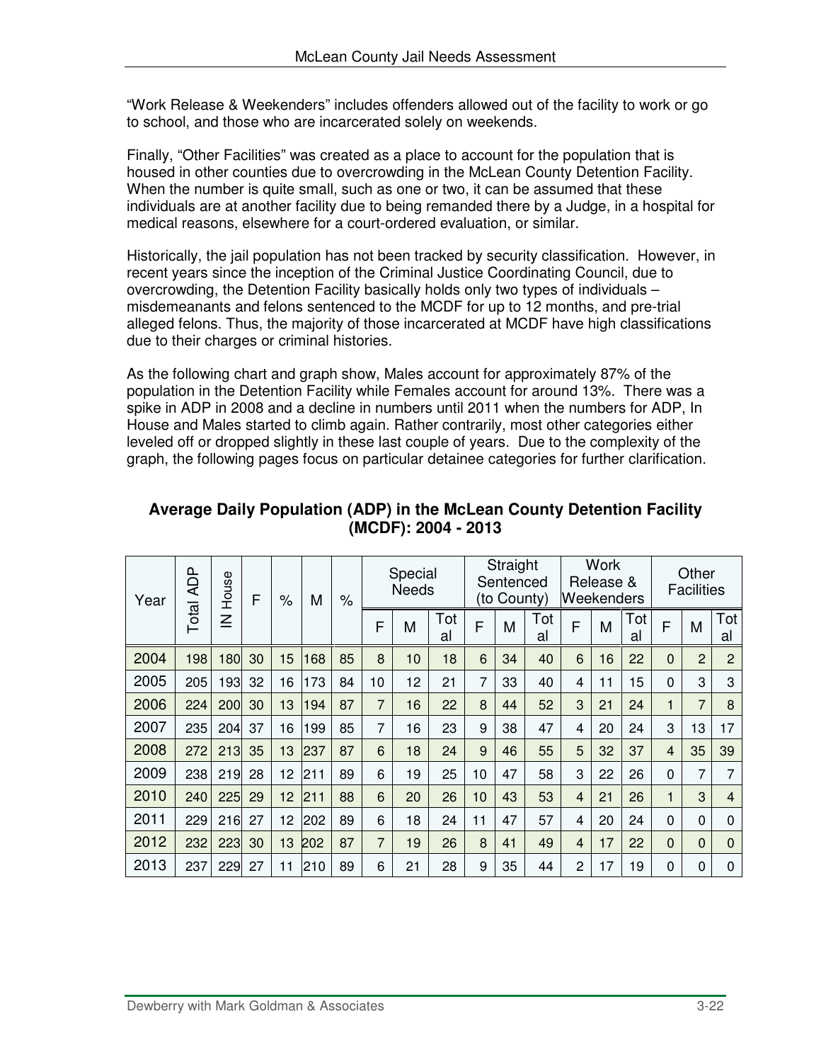"Work Release & Weekenders" includes offenders allowed out of the facility to work or go to school, and those who are incarcerated solely on weekends.

Finally, "Other Facilities" was created as a place to account for the population that is housed in other counties due to overcrowding in the McLean County Detention Facility. When the number is quite small, such as one or two, it can be assumed that these individuals are at another facility due to being remanded there by a Judge, in a hospital for medical reasons, elsewhere for a court-ordered evaluation, or similar.

Historically, the jail population has not been tracked by security classification. However, in recent years since the inception of the Criminal Justice Coordinating Council, due to overcrowding, the Detention Facility basically holds only two types of individuals – misdemeanants and felons sentenced to the MCDF for up to 12 months, and pre-trial alleged felons. Thus, the majority of those incarcerated at MCDF have high classifications due to their charges or criminal histories.

As the following chart and graph show, Males account for approximately 87% of the population in the Detention Facility while Females account for around 13%. There was a spike in ADP in 2008 and a decline in numbers until 2011 when the numbers for ADP, In House and Males started to climb again. Rather contrarily, most other categories either leveled off or dropped slightly in these last couple of years. Due to the complexity of the graph, the following pages focus on particular detainee categories for further clarification.

| Year | <b>ADP</b>   | House  | F  | $\%$ | M   | $\%$ |                | Special<br><b>Needs</b> |           |    | Straight<br>Sentenced<br>(to County) |           | <b>Weekenders</b> | <b>Work</b><br>Release & |           |                | Other<br><b>Facilities</b> |                |
|------|--------------|--------|----|------|-----|------|----------------|-------------------------|-----------|----|--------------------------------------|-----------|-------------------|--------------------------|-----------|----------------|----------------------------|----------------|
|      | <b>Total</b> | $\leq$ |    |      |     |      | F              | M                       | Tot<br>al | F  | M                                    | Tot<br>al | F                 | M                        | Tot<br>al | F              | M                          | Tot<br>al      |
| 2004 | 198          | 180    | 30 | 15   | 168 | 85   | 8              | 10                      | 18        | 6  | 34                                   | 40        | 6                 | 16                       | 22        | 0              | $\overline{2}$             | $\overline{2}$ |
| 2005 | 205          | 193    | 32 | 16   | 173 | 84   | 10             | 12                      | 21        | 7  | 33                                   | 40        | 4                 | 11                       | 15        | 0              | 3                          | 3              |
| 2006 | 224          | 200    | 30 | 13   | 194 | 87   | $\overline{7}$ | 16                      | 22        | 8  | 44                                   | 52        | 3                 | 21                       | 24        | $\blacksquare$ | 7                          | 8              |
| 2007 | 235          | 204    | 37 | 16   | 199 | 85   | $\overline{7}$ | 16                      | 23        | 9  | 38                                   | 47        | 4                 | 20                       | 24        | 3              | 13                         | 17             |
| 2008 | 272          | 213    | 35 | 13   | 237 | 87   | 6              | 18                      | 24        | 9  | 46                                   | 55        | 5                 | 32                       | 37        | $\overline{4}$ | 35                         | 39             |
| 2009 | 238          | 219    | 28 | 12   | 211 | 89   | 6              | 19                      | 25        | 10 | 47                                   | 58        | 3                 | 22                       | 26        | $\Omega$       | 7                          | 7              |
| 2010 | 240          | 225    | 29 | 12   | 211 | 88   | 6              | 20                      | 26        | 10 | 43                                   | 53        | $\overline{4}$    | 21                       | 26        | 1              | 3                          | 4              |
| 2011 | 229          | 216    | 27 | 12   | 202 | 89   | 6              | 18                      | 24        | 11 | 47                                   | 57        | 4                 | 20                       | 24        | $\Omega$       | $\Omega$                   | $\Omega$       |
| 2012 | 232          | 223    | 30 | 13   | 202 | 87   | $\overline{7}$ | 19                      | 26        | 8  | 41                                   | 49        | 4                 | 17                       | 22        | $\mathbf 0$    | $\mathbf 0$                | $\Omega$       |
| 2013 | 237          | 229    | 27 | 11   | 210 | 89   | 6              | 21                      | 28        | 9  | 35                                   | 44        | $\overline{c}$    | 17                       | 19        | 0              | 0                          | 0              |

#### **Average Daily Population (ADP) in the McLean County Detention Facility (MCDF): 2004 - 2013**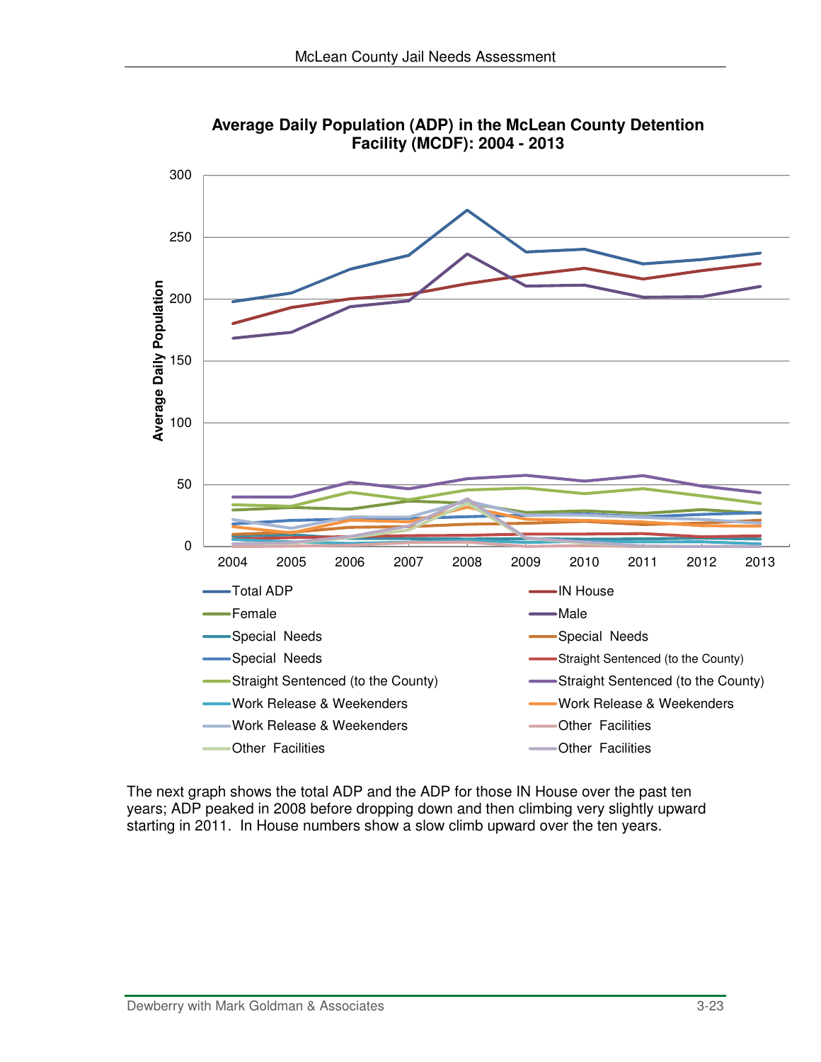

**Average Daily Population (ADP) in the McLean County Detention Facility (MCDF): 2004 - 2013**

The next graph shows the total ADP and the ADP for those IN House over the past ten years; ADP peaked in 2008 before dropping down and then climbing very slightly upward starting in 2011. In House numbers show a slow climb upward over the ten years.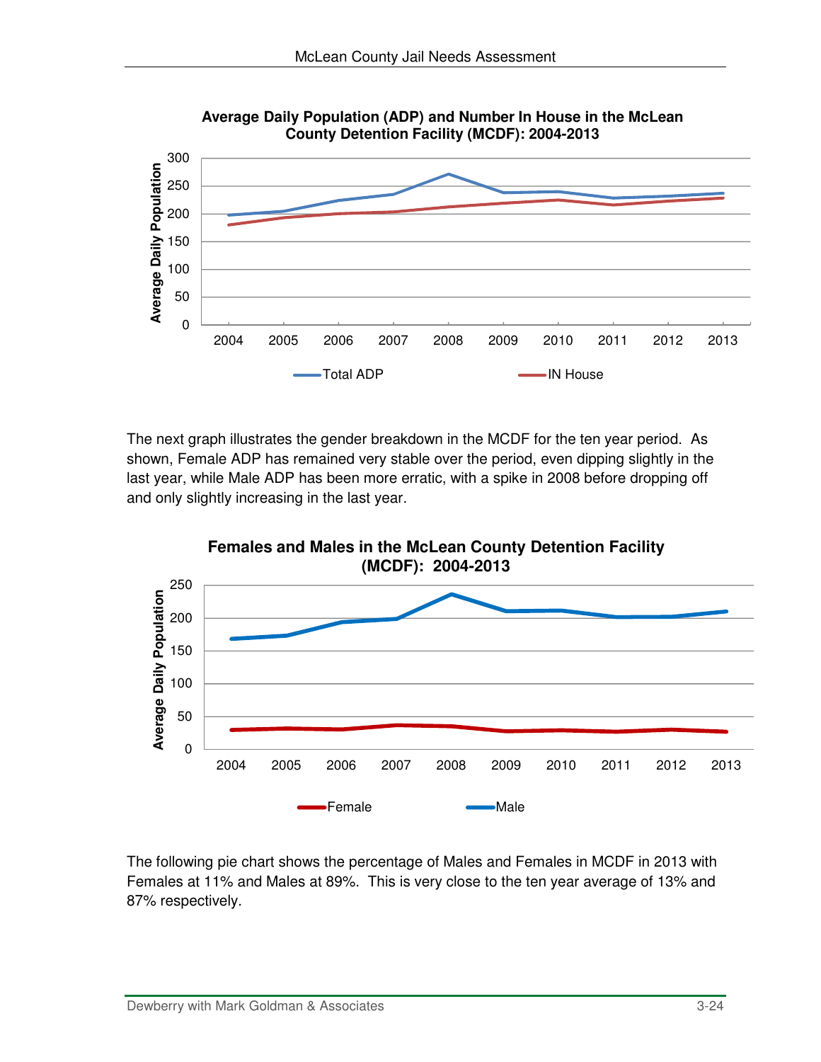

**Average Daily Population (ADP) and Number In House in the McLean County Detention Facility (MCDF): 2004-2013**

The next graph illustrates the gender breakdown in the MCDF for the ten year period. As shown, Female ADP has remained very stable over the period, even dipping slightly in the last year, while Male ADP has been more erratic, with a spike in 2008 before dropping off and only slightly increasing in the last year.



The following pie chart shows the percentage of Males and Females in MCDF in 2013 with Females at 11% and Males at 89%. This is very close to the ten year average of 13% and 87% respectively.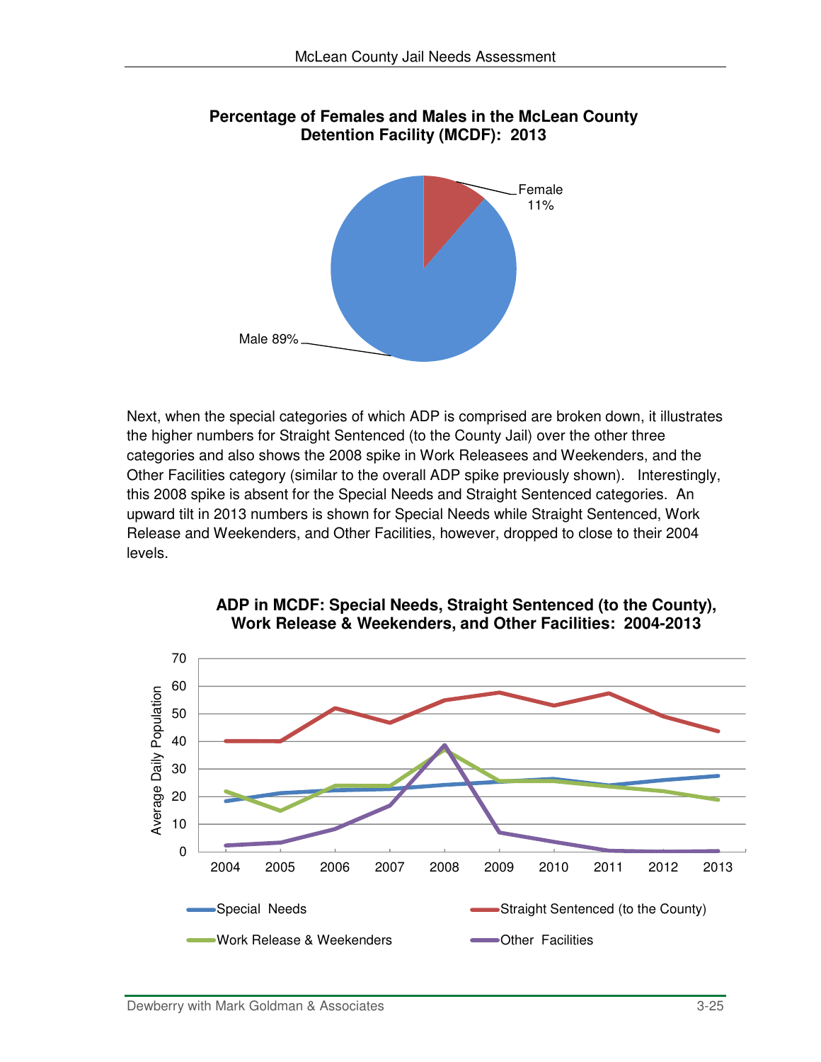

### **Percentage of Females and Males in the McLean County Detention Facility (MCDF): 2013**

Next, when the special categories of which ADP is comprised are broken down, it illustrates the higher numbers for Straight Sentenced (to the County Jail) over the other three categories and also shows the 2008 spike in Work Releasees and Weekenders, and the Other Facilities category (similar to the overall ADP spike previously shown). Interestingly, this 2008 spike is absent for the Special Needs and Straight Sentenced categories. An upward tilt in 2013 numbers is shown for Special Needs while Straight Sentenced, Work Release and Weekenders, and Other Facilities, however, dropped to close to their 2004 levels.



#### **ADP in MCDF: Special Needs, Straight Sentenced (to the County), Work Release & Weekenders, and Other Facilities: 2004-2013**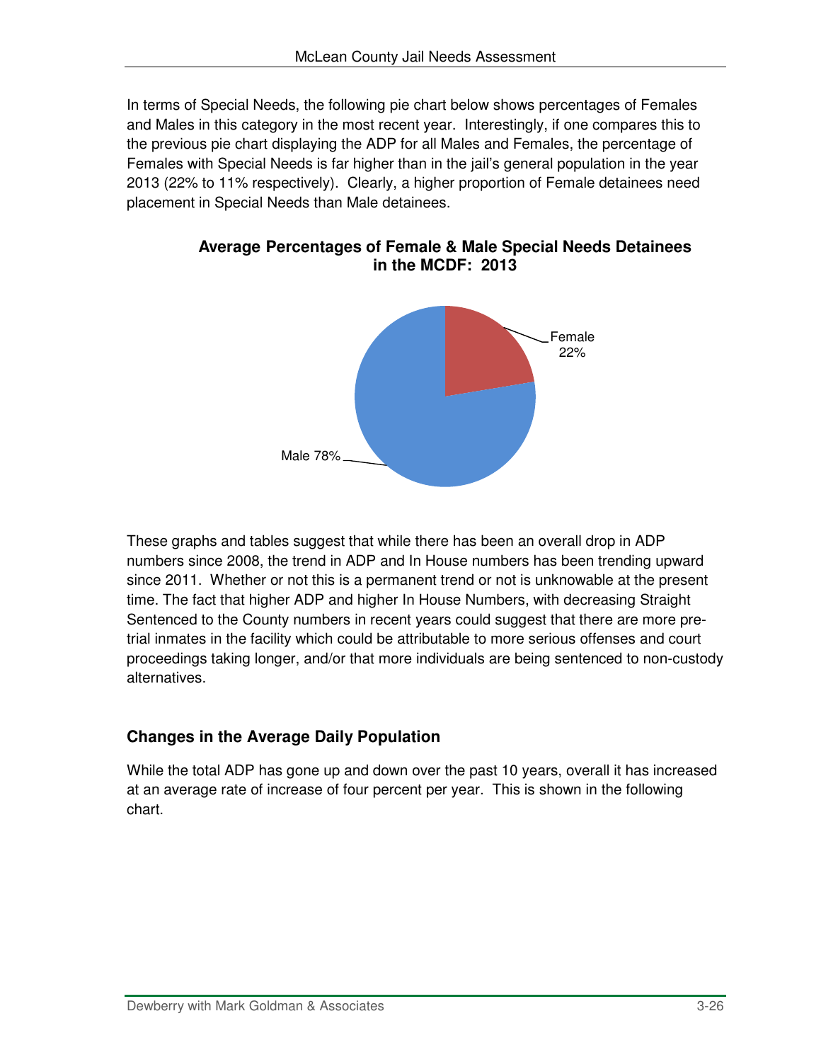In terms of Special Needs, the following pie chart below shows percentages of Females and Males in this category in the most recent year. Interestingly, if one compares this to the previous pie chart displaying the ADP for all Males and Females, the percentage of Females with Special Needs is far higher than in the jail's general population in the year 2013 (22% to 11% respectively). Clearly, a higher proportion of Female detainees need placement in Special Needs than Male detainees.



**Average Percentages of Female & Male Special Needs Detainees in the MCDF: 2013**

These graphs and tables suggest that while there has been an overall drop in ADP numbers since 2008, the trend in ADP and In House numbers has been trending upward since 2011. Whether or not this is a permanent trend or not is unknowable at the present time. The fact that higher ADP and higher In House Numbers, with decreasing Straight Sentenced to the County numbers in recent years could suggest that there are more pretrial inmates in the facility which could be attributable to more serious offenses and court proceedings taking longer, and/or that more individuals are being sentenced to non-custody alternatives.

### **Changes in the Average Daily Population**

While the total ADP has gone up and down over the past 10 years, overall it has increased at an average rate of increase of four percent per year. This is shown in the following chart.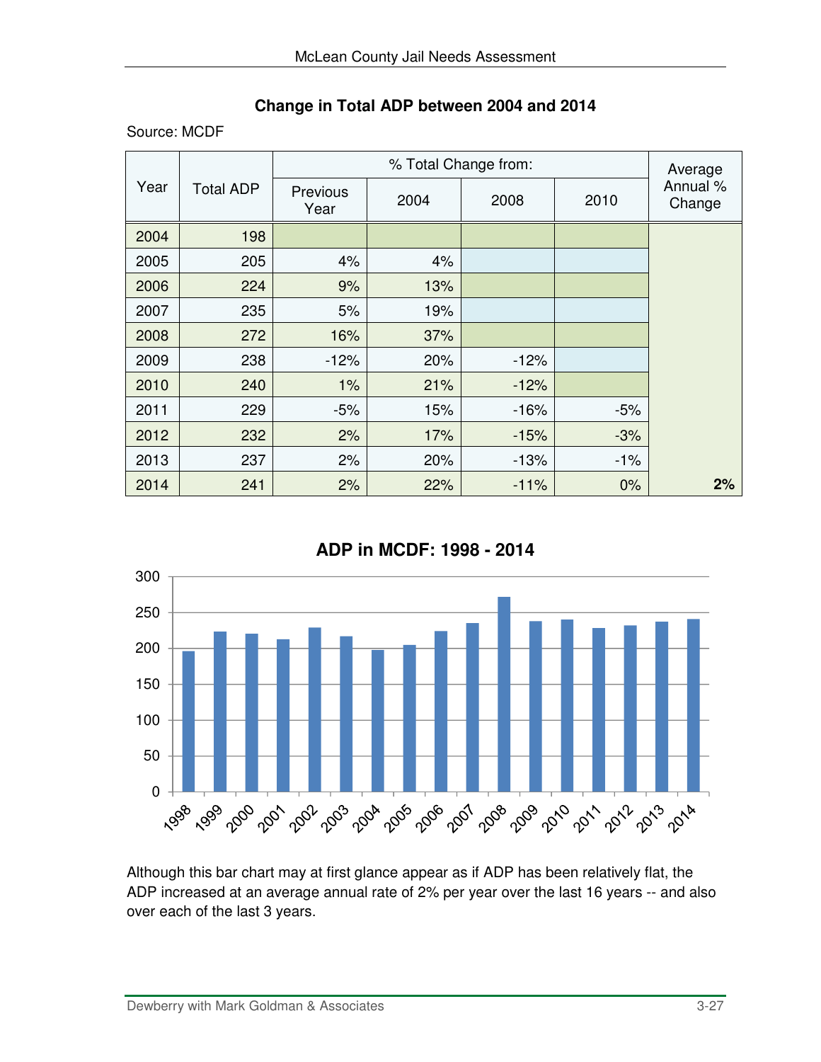### **Change in Total ADP between 2004 and 2014**

Source: MCDF

|      |                  |                  | Average |        |       |                    |
|------|------------------|------------------|---------|--------|-------|--------------------|
| Year | <b>Total ADP</b> | Previous<br>Year | 2004    | 2008   | 2010  | Annual %<br>Change |
| 2004 | 198              |                  |         |        |       |                    |
| 2005 | 205              | 4%               | 4%      |        |       |                    |
| 2006 | 224              | 9%               | 13%     |        |       |                    |
| 2007 | 235              | 5%               | 19%     |        |       |                    |
| 2008 | 272              | 16%              | 37%     |        |       |                    |
| 2009 | 238              | $-12%$           | 20%     | $-12%$ |       |                    |
| 2010 | 240              | 1%               | 21%     | $-12%$ |       |                    |
| 2011 | 229              | $-5%$            | 15%     | $-16%$ | $-5%$ |                    |
| 2012 | 232              | 2%               | 17%     | $-15%$ | $-3%$ |                    |
| 2013 | 237              | 2%               | 20%     | $-13%$ | $-1%$ |                    |
| 2014 | 241              | 2%               | 22%     | $-11%$ | 0%    | 2%                 |

**ADP in MCDF: 1998 - 2014**



Although this bar chart may at first glance appear as if ADP has been relatively flat, the ADP increased at an average annual rate of 2% per year over the last 16 years -- and also over each of the last 3 years.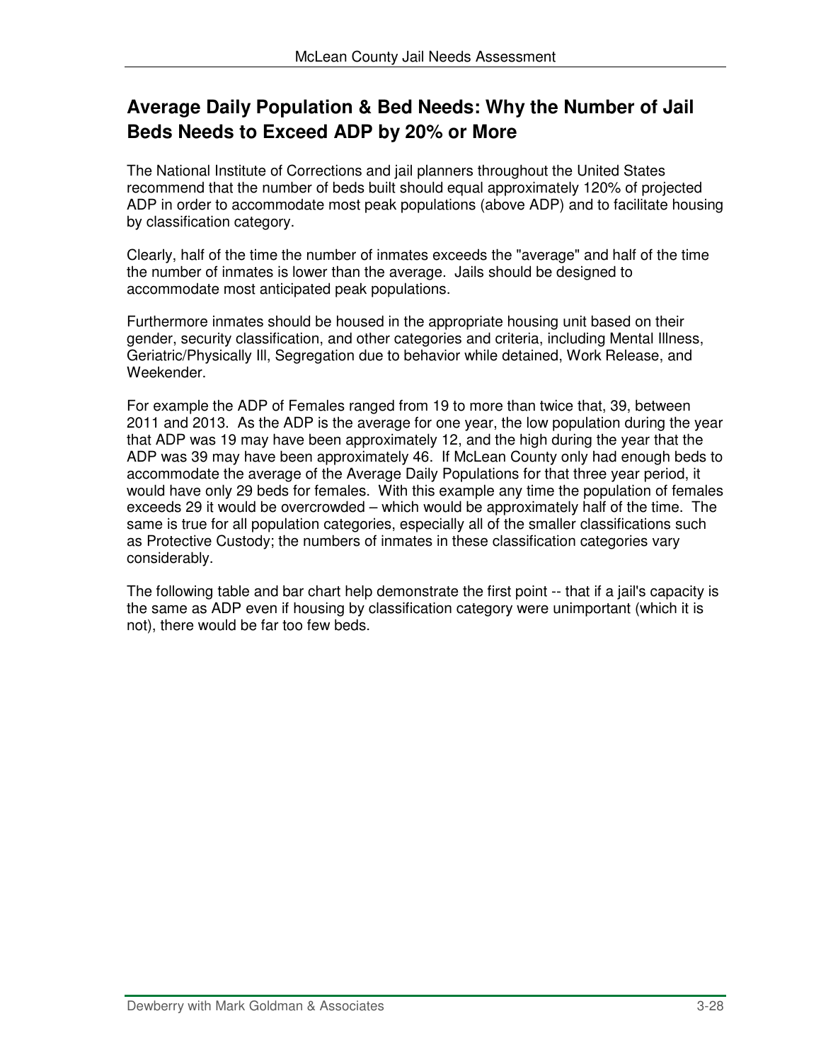# **Average Daily Population & Bed Needs: Why the Number of Jail Beds Needs to Exceed ADP by 20% or More**

The National Institute of Corrections and jail planners throughout the United States recommend that the number of beds built should equal approximately 120% of projected ADP in order to accommodate most peak populations (above ADP) and to facilitate housing by classification category.

Clearly, half of the time the number of inmates exceeds the "average" and half of the time the number of inmates is lower than the average. Jails should be designed to accommodate most anticipated peak populations.

Furthermore inmates should be housed in the appropriate housing unit based on their gender, security classification, and other categories and criteria, including Mental Illness, Geriatric/Physically Ill, Segregation due to behavior while detained, Work Release, and Weekender.

For example the ADP of Females ranged from 19 to more than twice that, 39, between 2011 and 2013. As the ADP is the average for one year, the low population during the year that ADP was 19 may have been approximately 12, and the high during the year that the ADP was 39 may have been approximately 46. If McLean County only had enough beds to accommodate the average of the Average Daily Populations for that three year period, it would have only 29 beds for females. With this example any time the population of females exceeds 29 it would be overcrowded – which would be approximately half of the time. The same is true for all population categories, especially all of the smaller classifications such as Protective Custody; the numbers of inmates in these classification categories vary considerably.

The following table and bar chart help demonstrate the first point -- that if a jail's capacity is the same as ADP even if housing by classification category were unimportant (which it is not), there would be far too few beds.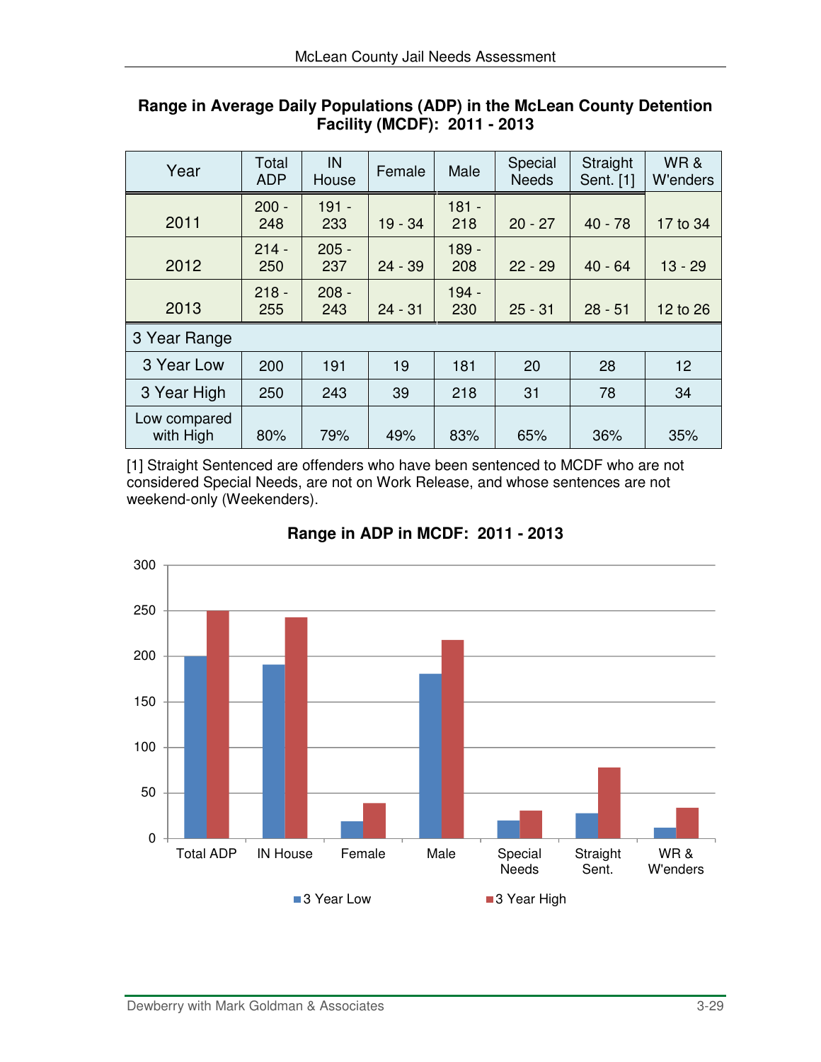| Year                      | Total<br><b>ADP</b> | IN<br>House    | Female    | Male           | Special<br><b>Needs</b> | Straight<br>Sent. [1] | WR&<br>W'enders |  |
|---------------------------|---------------------|----------------|-----------|----------------|-------------------------|-----------------------|-----------------|--|
| 2011                      | $200 -$<br>248      | $191 -$<br>233 | $19 - 34$ | $181 -$<br>218 | $20 - 27$               | $40 - 78$             | 17 to 34        |  |
| 2012                      | $214 -$<br>250      | $205 -$<br>237 | $24 - 39$ | $189 -$<br>208 | $22 - 29$               | $40 - 64$             | $13 - 29$       |  |
| 2013                      | $218 -$<br>255      | $208 -$<br>243 | $24 - 31$ | $194 -$<br>230 | $25 - 31$               | $28 - 51$             | 12 to 26        |  |
| 3 Year Range              |                     |                |           |                |                         |                       |                 |  |
| 3 Year Low                | 200                 | 191            | 19        | 181            | 20                      | 28                    | 12              |  |
| 3 Year High               | 250                 | 243            | 39        | 218            | 31                      | 78                    | 34              |  |
| Low compared<br>with High | 80%                 | 79%            | 49%       | 83%            | 65%                     | 36%                   | 35%             |  |

#### **Range in Average Daily Populations (ADP) in the McLean County Detention Facility (MCDF): 2011 - 2013**

[1] Straight Sentenced are offenders who have been sentenced to MCDF who are not considered Special Needs, are not on Work Release, and whose sentences are not weekend-only (Weekenders).



### **Range in ADP in MCDF: 2011 - 2013**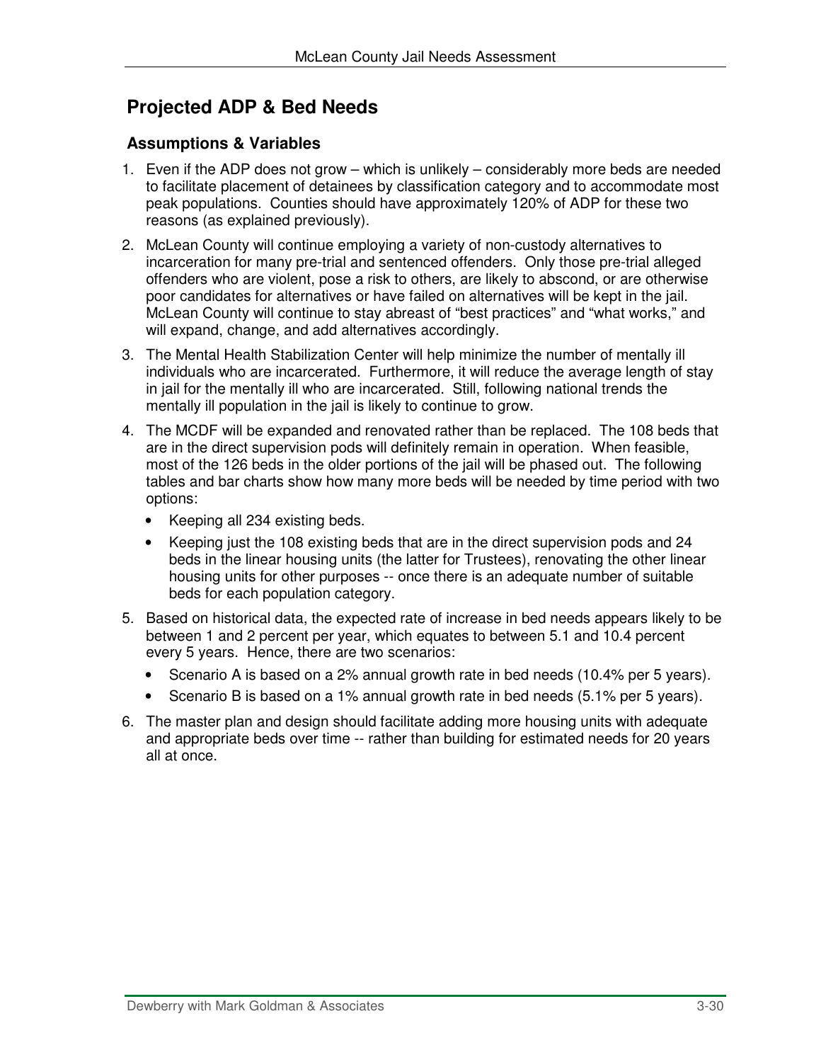# **Projected ADP & Bed Needs**

#### **Assumptions & Variables**

- 1. Even if the ADP does not grow which is unlikely considerably more beds are needed to facilitate placement of detainees by classification category and to accommodate most peak populations. Counties should have approximately 120% of ADP for these two reasons (as explained previously).
- 2. McLean County will continue employing a variety of non-custody alternatives to incarceration for many pre-trial and sentenced offenders. Only those pre-trial alleged offenders who are violent, pose a risk to others, are likely to abscond, or are otherwise poor candidates for alternatives or have failed on alternatives will be kept in the jail. McLean County will continue to stay abreast of "best practices" and "what works," and will expand, change, and add alternatives accordingly.
- 3. The Mental Health Stabilization Center will help minimize the number of mentally ill individuals who are incarcerated. Furthermore, it will reduce the average length of stay in jail for the mentally ill who are incarcerated. Still, following national trends the mentally ill population in the jail is likely to continue to grow.
- 4. The MCDF will be expanded and renovated rather than be replaced. The 108 beds that are in the direct supervision pods will definitely remain in operation. When feasible, most of the 126 beds in the older portions of the jail will be phased out. The following tables and bar charts show how many more beds will be needed by time period with two options:
	- Keeping all 234 existing beds.
	- Keeping just the 108 existing beds that are in the direct supervision pods and 24 beds in the linear housing units (the latter for Trustees), renovating the other linear housing units for other purposes -- once there is an adequate number of suitable beds for each population category.
- 5. Based on historical data, the expected rate of increase in bed needs appears likely to be between 1 and 2 percent per year, which equates to between 5.1 and 10.4 percent every 5 years. Hence, there are two scenarios:
	- Scenario A is based on a 2% annual growth rate in bed needs (10.4% per 5 years).
	- Scenario B is based on a 1% annual growth rate in bed needs (5.1% per 5 years).
- 6. The master plan and design should facilitate adding more housing units with adequate and appropriate beds over time -- rather than building for estimated needs for 20 years all at once.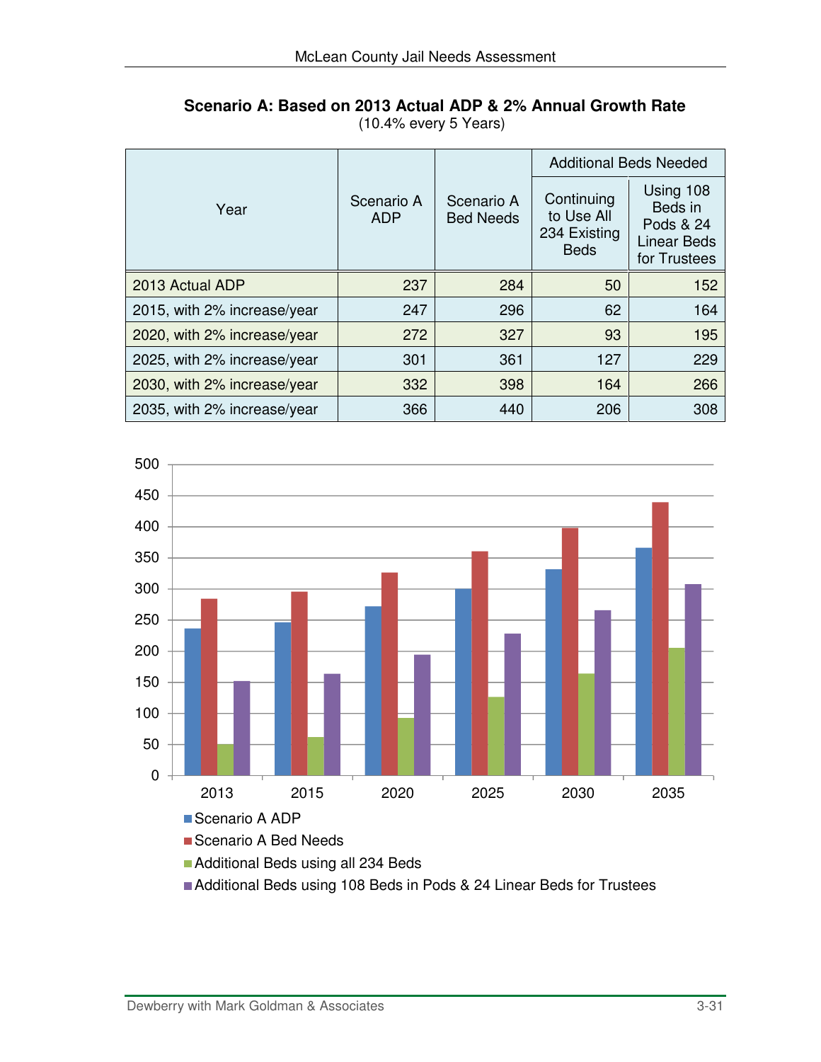|                             |                                                            |     |                                                         | <b>Additional Beds Needed</b>                                           |  |  |
|-----------------------------|------------------------------------------------------------|-----|---------------------------------------------------------|-------------------------------------------------------------------------|--|--|
| Year                        | Scenario A<br>Scenario A<br><b>Bed Needs</b><br><b>ADP</b> |     | Continuing<br>to Use All<br>234 Existing<br><b>Beds</b> | Using 108<br>Beds in<br>Pods & 24<br><b>Linear Beds</b><br>for Trustees |  |  |
| 2013 Actual ADP             | 237                                                        | 284 | 50                                                      | 152                                                                     |  |  |
| 2015, with 2% increase/year | 247                                                        | 296 | 62                                                      | 164                                                                     |  |  |
| 2020, with 2% increase/year | 272                                                        | 327 | 93                                                      | 195                                                                     |  |  |
| 2025, with 2% increase/year | 301                                                        | 361 | 127                                                     | 229                                                                     |  |  |
| 2030, with 2% increase/year | 332                                                        | 398 | 164                                                     | 266                                                                     |  |  |
| 2035, with 2% increase/year | 366                                                        | 440 | 206                                                     | 308                                                                     |  |  |

#### **Scenario A: Based on 2013 Actual ADP & 2% Annual Growth Rate**  (10.4% every 5 Years)



Additional Beds using 108 Beds in Pods & 24 Linear Beds for Trustees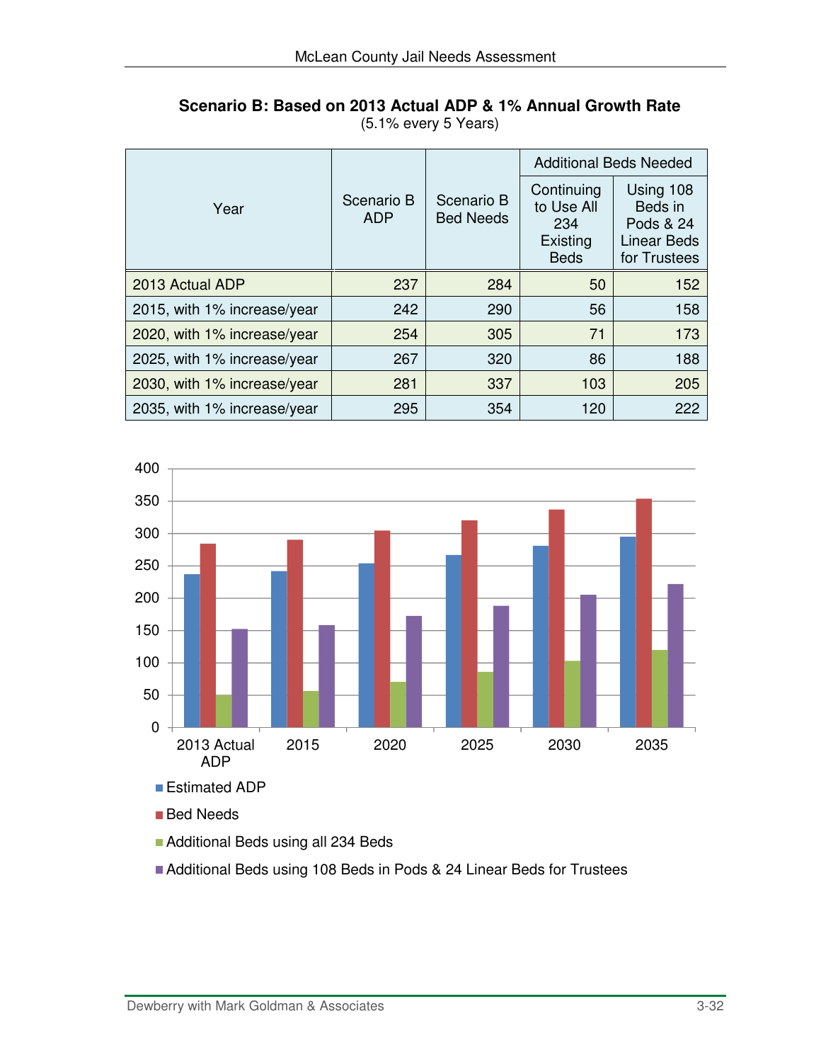|                             |                          |                                | <b>Additional Beds Needed</b>                              |                                                                  |  |
|-----------------------------|--------------------------|--------------------------------|------------------------------------------------------------|------------------------------------------------------------------|--|
| Year                        | Scenario B<br><b>ADP</b> | Scenario B<br><b>Bed Needs</b> | Continuing<br>to Use All<br>234<br>Existing<br><b>Beds</b> | Using 108<br>Beds in<br>Pods & 24<br>Linear Beds<br>for Trustees |  |
| 2013 Actual ADP             | 237                      | 284                            | 50                                                         | 152                                                              |  |
| 2015, with 1% increase/year | 242                      | 290                            | 56                                                         | 158                                                              |  |
| 2020, with 1% increase/year | 254                      | 305                            | 71                                                         | 173                                                              |  |
| 2025, with 1% increase/year | 267                      | 320                            | 86                                                         | 188                                                              |  |
| 2030, with 1% increase/year | 281                      | 337                            | 103                                                        | 205                                                              |  |
| 2035, with 1% increase/year | 295                      | 354                            | 120                                                        | 222                                                              |  |

**Scenario B: Based on 2013 Actual ADP & 1% Annual Growth Rate** (5.1% every 5 Years)



■ Bed Needs

**Additional Beds using all 234 Beds** 

Additional Beds using 108 Beds in Pods & 24 Linear Beds for Trustees